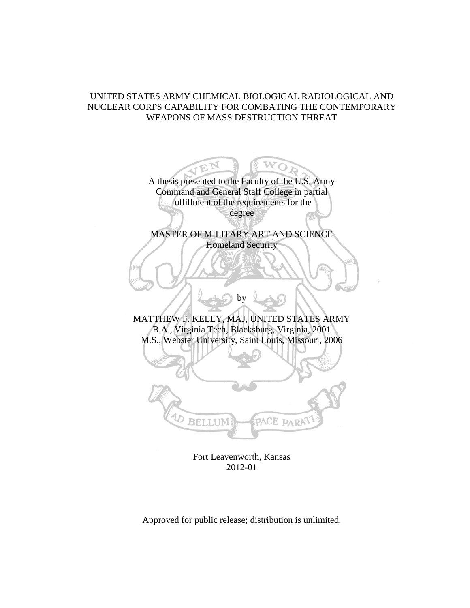# UNITED STATES ARMY CHEMICAL BIOLOGICAL RADIOLOGICAL AND NUCLEAR CORPS CAPABILITY FOR COMBATING THE CONTEMPORARY WEAPONS OF MASS DESTRUCTION THREAT

A thesis presented to the Faculty of the U.S. Army Command and General Staff College in partial fulfillment of the requirements for the degree

W

MASTER OF MILITARY ART AND SCIENCE Homeland Security

MATTHEW F. KELLY, MAJ, UNITED STATES ARMY B.A., Virginia Tech, Blacksburg, Virginia, 2001 M.S., Webster University, Saint Louis, Missouri, 2006

by



Fort Leavenworth, Kansas 2012-01

Approved for public release; distribution is unlimited.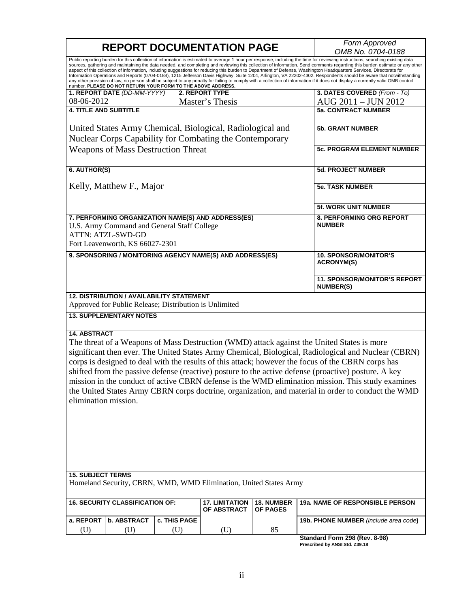|                                             |                                                                                                            |                     | <b>REPORT DOCUMENTATION PAGE</b>                                  |                               | Form Approved                                                                                                                                                                                                                                                                                                                                                                                                                                                                                                                                                                                                                                                                                                   |
|---------------------------------------------|------------------------------------------------------------------------------------------------------------|---------------------|-------------------------------------------------------------------|-------------------------------|-----------------------------------------------------------------------------------------------------------------------------------------------------------------------------------------------------------------------------------------------------------------------------------------------------------------------------------------------------------------------------------------------------------------------------------------------------------------------------------------------------------------------------------------------------------------------------------------------------------------------------------------------------------------------------------------------------------------|
|                                             |                                                                                                            |                     |                                                                   |                               | OMB No. 0704-0188<br>Public reporting burden for this collection of information is estimated to average 1 hour per response, including the time for reviewing instructions, searching existing data                                                                                                                                                                                                                                                                                                                                                                                                                                                                                                             |
|                                             | number. PLEASE DO NOT RETURN YOUR FORM TO THE ABOVE ADDRESS.                                               |                     |                                                                   |                               | sources, gathering and maintaining the data needed, and completing and reviewing this collection of information. Send comments regarding this burden estimate or any other<br>aspect of this collection of information, including suggestions for reducing this burden to Department of Defense, Washington Headquarters Services, Directorate for<br>Information Operations and Reports (0704-0188), 1215 Jefferson Davis Highway, Suite 1204, Arlington, VA 22202-4302. Respondents should be aware that notwithstanding<br>any other provision of law, no person shall be subject to any penalty for failing to comply with a collection of information if it does not display a currently valid OMB control |
|                                             | 1. REPORT DATE (DD-MM-YYYY)                                                                                |                     | <b>2. REPORT TYPE</b>                                             |                               | 3. DATES COVERED (From - To)                                                                                                                                                                                                                                                                                                                                                                                                                                                                                                                                                                                                                                                                                    |
| 08-06-2012                                  |                                                                                                            |                     | Master's Thesis                                                   |                               | AUG 2011 - JUN 2012                                                                                                                                                                                                                                                                                                                                                                                                                                                                                                                                                                                                                                                                                             |
| <b>4. TITLE AND SUBTITLE</b>                |                                                                                                            |                     |                                                                   |                               | <b>5a. CONTRACT NUMBER</b>                                                                                                                                                                                                                                                                                                                                                                                                                                                                                                                                                                                                                                                                                      |
|                                             |                                                                                                            |                     | United States Army Chemical, Biological, Radiological and         |                               | <b>5b. GRANT NUMBER</b>                                                                                                                                                                                                                                                                                                                                                                                                                                                                                                                                                                                                                                                                                         |
|                                             |                                                                                                            |                     | Nuclear Corps Capability for Combating the Contemporary           |                               |                                                                                                                                                                                                                                                                                                                                                                                                                                                                                                                                                                                                                                                                                                                 |
| <b>Weapons of Mass Destruction Threat</b>   |                                                                                                            |                     |                                                                   |                               | 5c. PROGRAM ELEMENT NUMBER                                                                                                                                                                                                                                                                                                                                                                                                                                                                                                                                                                                                                                                                                      |
| 6. AUTHOR(S)                                |                                                                                                            |                     |                                                                   |                               | <b>5d. PROJECT NUMBER</b>                                                                                                                                                                                                                                                                                                                                                                                                                                                                                                                                                                                                                                                                                       |
|                                             | Kelly, Matthew F., Major                                                                                   |                     |                                                                   |                               | <b>5e. TASK NUMBER</b>                                                                                                                                                                                                                                                                                                                                                                                                                                                                                                                                                                                                                                                                                          |
|                                             |                                                                                                            |                     |                                                                   |                               | <b>5f. WORK UNIT NUMBER</b>                                                                                                                                                                                                                                                                                                                                                                                                                                                                                                                                                                                                                                                                                     |
|                                             | U.S. Army Command and General Staff College<br><b>ATTN: ATZL-SWD-GD</b><br>Fort Leavenworth, KS 66027-2301 |                     | 7. PERFORMING ORGANIZATION NAME(S) AND ADDRESS(ES)                |                               | 8. PERFORMING ORG REPORT<br><b>NUMBER</b>                                                                                                                                                                                                                                                                                                                                                                                                                                                                                                                                                                                                                                                                       |
|                                             |                                                                                                            |                     | 9. SPONSORING / MONITORING AGENCY NAME(S) AND ADDRESS(ES)         |                               | <b>10. SPONSOR/MONITOR'S</b><br><b>ACRONYM(S)</b>                                                                                                                                                                                                                                                                                                                                                                                                                                                                                                                                                                                                                                                               |
|                                             |                                                                                                            |                     |                                                                   |                               | <b>11. SPONSOR/MONITOR'S REPORT</b><br><b>NUMBER(S)</b>                                                                                                                                                                                                                                                                                                                                                                                                                                                                                                                                                                                                                                                         |
|                                             | <b>12. DISTRIBUTION / AVAILABILITY STATEMENT</b><br>Approved for Public Release; Distribution is Unlimited |                     |                                                                   |                               |                                                                                                                                                                                                                                                                                                                                                                                                                                                                                                                                                                                                                                                                                                                 |
|                                             | <b>13. SUPPLEMENTARY NOTES</b>                                                                             |                     |                                                                   |                               |                                                                                                                                                                                                                                                                                                                                                                                                                                                                                                                                                                                                                                                                                                                 |
| <b>14. ABSTRACT</b><br>elimination mission. |                                                                                                            |                     |                                                                   |                               | The threat of a Weapons of Mass Destruction (WMD) attack against the United States is more<br>significant then ever. The United States Army Chemical, Biological, Radiological and Nuclear (CBRN)<br>corps is designed to deal with the results of this attack; however the focus of the CBRN corps has<br>shifted from the passive defense (reactive) posture to the active defense (proactive) posture. A key<br>mission in the conduct of active CBRN defense is the WMD elimination mission. This study examines<br>the United States Army CBRN corps doctrine, organization, and material in order to conduct the WMD                                                                                      |
| <b>15. SUBJECT TERMS</b>                    |                                                                                                            |                     |                                                                   |                               |                                                                                                                                                                                                                                                                                                                                                                                                                                                                                                                                                                                                                                                                                                                 |
|                                             |                                                                                                            |                     | Homeland Security, CBRN, WMD, WMD Elimination, United States Army |                               |                                                                                                                                                                                                                                                                                                                                                                                                                                                                                                                                                                                                                                                                                                                 |
|                                             | <b>16. SECURITY CLASSIFICATION OF:</b>                                                                     |                     | <b>17. LIMITATION</b><br>OF ABSTRACT                              | 18. NUMBER<br><b>OF PAGES</b> | 19a. NAME OF RESPONSIBLE PERSON                                                                                                                                                                                                                                                                                                                                                                                                                                                                                                                                                                                                                                                                                 |
| a. REPORT                                   | <b>b. ABSTRACT</b>                                                                                         | <b>c. THIS PAGE</b> |                                                                   |                               | 19b. PHONE NUMBER (include area code)                                                                                                                                                                                                                                                                                                                                                                                                                                                                                                                                                                                                                                                                           |
| (U)                                         | (U)                                                                                                        | (U)                 | (U)                                                               | 85                            |                                                                                                                                                                                                                                                                                                                                                                                                                                                                                                                                                                                                                                                                                                                 |
|                                             |                                                                                                            |                     |                                                                   |                               | Standard Form 298 (Rev. 8-98)<br>Prescribed by ANSI Std. Z39.18                                                                                                                                                                                                                                                                                                                                                                                                                                                                                                                                                                                                                                                 |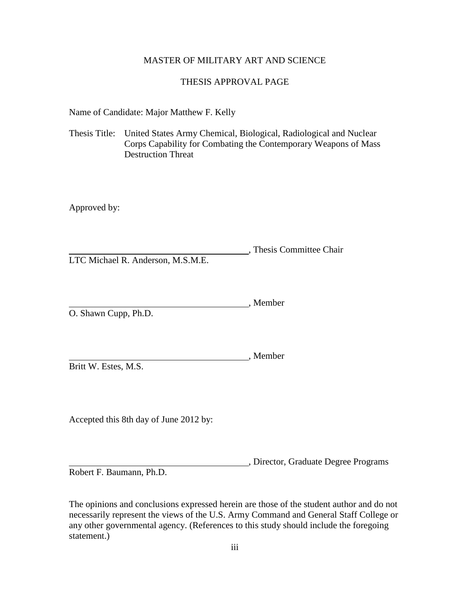# MASTER OF MILITARY ART AND SCIENCE

# THESIS APPROVAL PAGE

Name of Candidate: Major Matthew F. Kelly

Thesis Title: United States Army Chemical, Biological, Radiological and Nuclear Corps Capability for Combating the Contemporary Weapons of Mass Destruction Threat

Approved by:

, Thesis Committee Chair LTC Michael R. Anderson, M.S.M.E.

, Member O. Shawn Cupp, Ph.D.

Britt W. Estes, M.S.

Accepted this 8th day of June 2012 by:

, Director, Graduate Degree Programs

, Member

Robert F. Baumann, Ph.D.

The opinions and conclusions expressed herein are those of the student author and do not necessarily represent the views of the U.S. Army Command and General Staff College or any other governmental agency. (References to this study should include the foregoing statement.)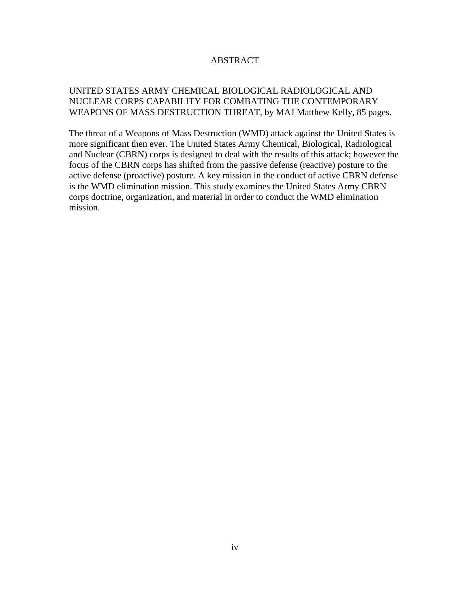# ABSTRACT

# UNITED STATES ARMY CHEMICAL BIOLOGICAL RADIOLOGICAL AND NUCLEAR CORPS CAPABILITY FOR COMBATING THE CONTEMPORARY WEAPONS OF MASS DESTRUCTION THREAT, by MAJ Matthew Kelly, 85 pages.

The threat of a Weapons of Mass Destruction (WMD) attack against the United States is more significant then ever. The United States Army Chemical, Biological, Radiological and Nuclear (CBRN) corps is designed to deal with the results of this attack; however the focus of the CBRN corps has shifted from the passive defense (reactive) posture to the active defense (proactive) posture. A key mission in the conduct of active CBRN defense is the WMD elimination mission. This study examines the United States Army CBRN corps doctrine, organization, and material in order to conduct the WMD elimination mission.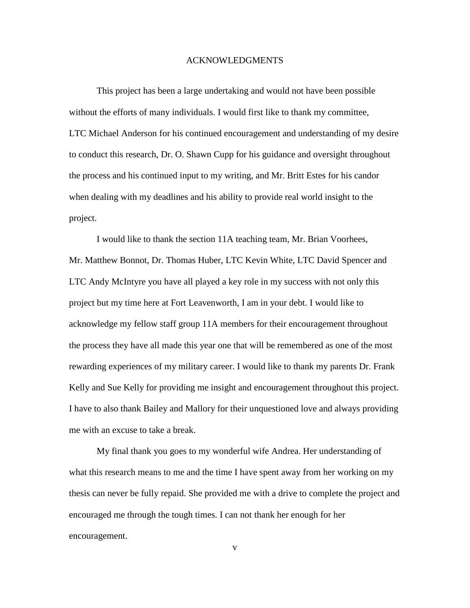#### ACKNOWLEDGMENTS

This project has been a large undertaking and would not have been possible without the efforts of many individuals. I would first like to thank my committee, LTC Michael Anderson for his continued encouragement and understanding of my desire to conduct this research, Dr. O. Shawn Cupp for his guidance and oversight throughout the process and his continued input to my writing, and Mr. Britt Estes for his candor when dealing with my deadlines and his ability to provide real world insight to the project.

I would like to thank the section 11A teaching team, Mr. Brian Voorhees, Mr. Matthew Bonnot, Dr. Thomas Huber, LTC Kevin White, LTC David Spencer and LTC Andy McIntyre you have all played a key role in my success with not only this project but my time here at Fort Leavenworth, I am in your debt. I would like to acknowledge my fellow staff group 11A members for their encouragement throughout the process they have all made this year one that will be remembered as one of the most rewarding experiences of my military career. I would like to thank my parents Dr. Frank Kelly and Sue Kelly for providing me insight and encouragement throughout this project. I have to also thank Bailey and Mallory for their unquestioned love and always providing me with an excuse to take a break.

My final thank you goes to my wonderful wife Andrea. Her understanding of what this research means to me and the time I have spent away from her working on my thesis can never be fully repaid. She provided me with a drive to complete the project and encouraged me through the tough times. I can not thank her enough for her encouragement.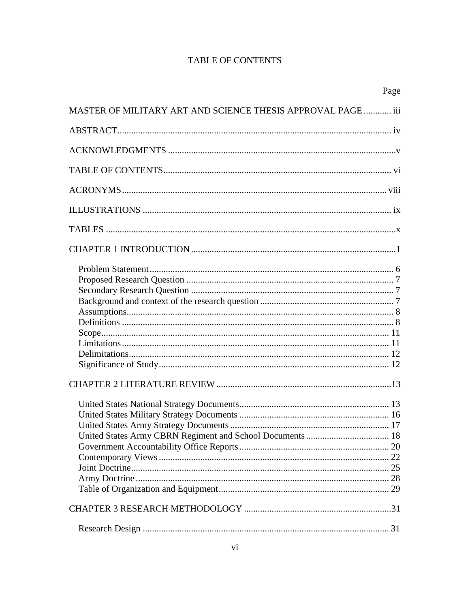# **TABLE OF CONTENTS**

| Page                                                         |  |
|--------------------------------------------------------------|--|
| MASTER OF MILITARY ART AND SCIENCE THESIS APPROVAL PAGE  iii |  |
|                                                              |  |
|                                                              |  |
|                                                              |  |
|                                                              |  |
|                                                              |  |
|                                                              |  |
|                                                              |  |
|                                                              |  |
|                                                              |  |
|                                                              |  |
|                                                              |  |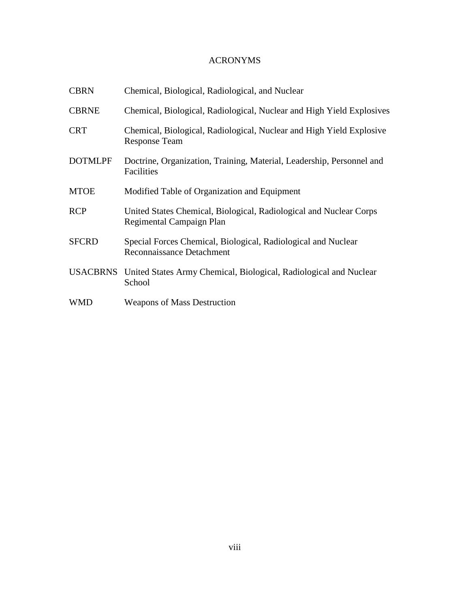# ACRONYMS

| <b>CBRN</b>     | Chemical, Biological, Radiological, and Nuclear                                                   |
|-----------------|---------------------------------------------------------------------------------------------------|
| <b>CBRNE</b>    | Chemical, Biological, Radiological, Nuclear and High Yield Explosives                             |
| <b>CRT</b>      | Chemical, Biological, Radiological, Nuclear and High Yield Explosive<br><b>Response Team</b>      |
| <b>DOTMLPF</b>  | Doctrine, Organization, Training, Material, Leadership, Personnel and<br>Facilities               |
| <b>MTOE</b>     | Modified Table of Organization and Equipment                                                      |
| <b>RCP</b>      | United States Chemical, Biological, Radiological and Nuclear Corps<br>Regimental Campaign Plan    |
| <b>SFCRD</b>    | Special Forces Chemical, Biological, Radiological and Nuclear<br><b>Reconnaissance Detachment</b> |
| <b>USACBRNS</b> | United States Army Chemical, Biological, Radiological and Nuclear<br>School                       |
| <b>WMD</b>      | <b>Weapons of Mass Destruction</b>                                                                |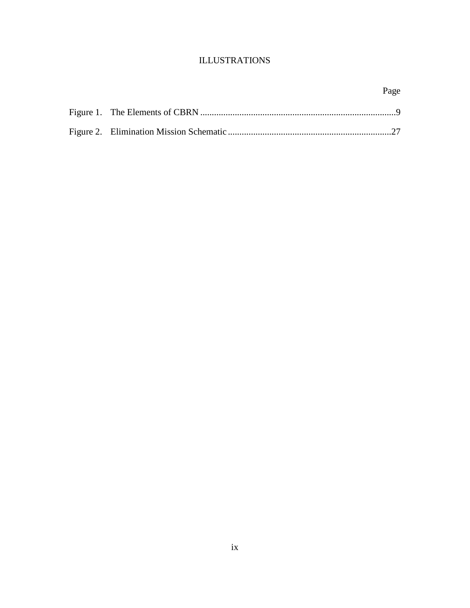# ILLUSTRATIONS

# Page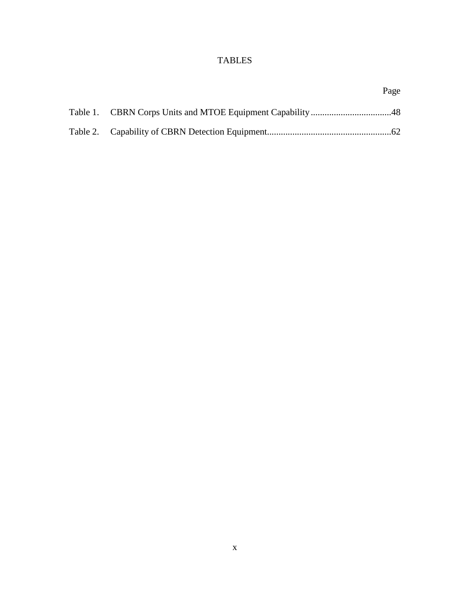# TABLES

|  | Page |
|--|------|
|  |      |
|  |      |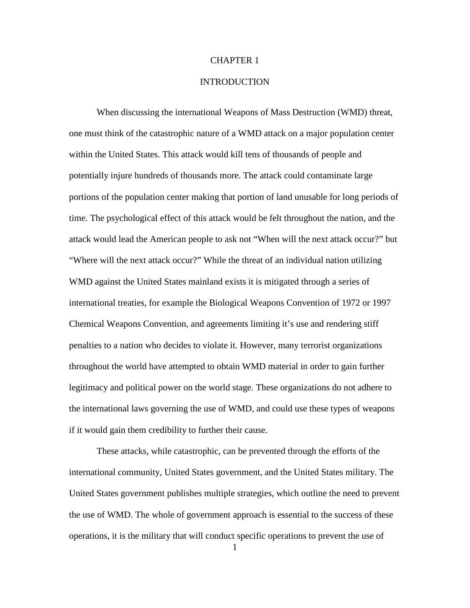# CHAPTER 1

# **INTRODUCTION**

When discussing the international Weapons of Mass Destruction (WMD) threat, one must think of the catastrophic nature of a WMD attack on a major population center within the United States. This attack would kill tens of thousands of people and potentially injure hundreds of thousands more. The attack could contaminate large portions of the population center making that portion of land unusable for long periods of time. The psychological effect of this attack would be felt throughout the nation, and the attack would lead the American people to ask not "When will the next attack occur?" but "Where will the next attack occur?" While the threat of an individual nation utilizing WMD against the United States mainland exists it is mitigated through a series of international treaties, for example the Biological Weapons Convention of 1972 or 1997 Chemical Weapons Convention, and agreements limiting it's use and rendering stiff penalties to a nation who decides to violate it. However, many terrorist organizations throughout the world have attempted to obtain WMD material in order to gain further legitimacy and political power on the world stage. These organizations do not adhere to the international laws governing the use of WMD, and could use these types of weapons if it would gain them credibility to further their cause.

These attacks, while catastrophic, can be prevented through the efforts of the international community, United States government, and the United States military. The United States government publishes multiple strategies, which outline the need to prevent the use of WMD. The whole of government approach is essential to the success of these operations, it is the military that will conduct specific operations to prevent the use of

1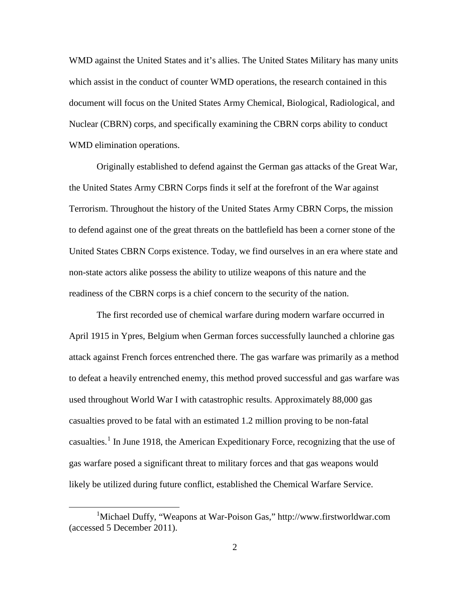WMD against the United States and it's allies. The United States Military has many units which assist in the conduct of counter WMD operations, the research contained in this document will focus on the United States Army Chemical, Biological, Radiological, and Nuclear (CBRN) corps, and specifically examining the CBRN corps ability to conduct WMD elimination operations.

Originally established to defend against the German gas attacks of the Great War, the United States Army CBRN Corps finds it self at the forefront of the War against Terrorism. Throughout the history of the United States Army CBRN Corps, the mission to defend against one of the great threats on the battlefield has been a corner stone of the United States CBRN Corps existence. Today, we find ourselves in an era where state and non-state actors alike possess the ability to utilize weapons of this nature and the readiness of the CBRN corps is a chief concern to the security of the nation.

The first recorded use of chemical warfare during modern warfare occurred in April 1915 in Ypres, Belgium when German forces successfully launched a chlorine gas attack against French forces entrenched there. The gas warfare was primarily as a method to defeat a heavily entrenched enemy, this method proved successful and gas warfare was used throughout World War I with catastrophic results. Approximately 88,000 gas casualties proved to be fatal with an estimated 1.2 million proving to be non-fatal casualties.<sup>[1](#page-11-0)</sup> In June 1918, the American Expeditionary Force, recognizing that the use of gas warfare posed a significant threat to military forces and that gas weapons would likely be utilized during future conflict, established the Chemical Warfare Service.

<span id="page-11-0"></span><sup>&</sup>lt;u>1</u> Michael Duffy, "Weapons at War-Poison Gas," http://www.firstworldwar.com (accessed 5 December 2011).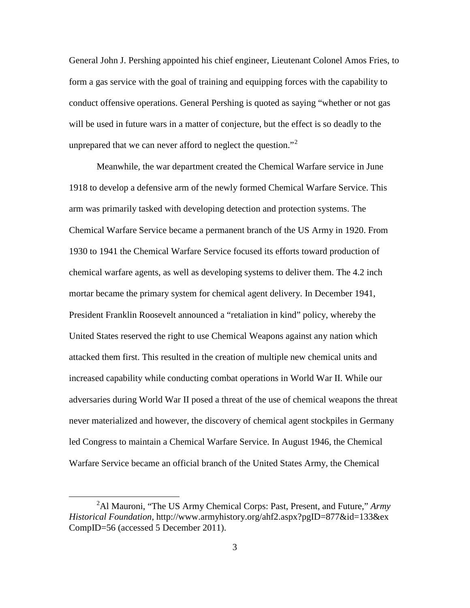General John J. Pershing appointed his chief engineer, Lieutenant Colonel Amos Fries, to form a gas service with the goal of training and equipping forces with the capability to conduct offensive operations. General Pershing is quoted as saying "whether or not gas will be used in future wars in a matter of conjecture, but the effect is so deadly to the unprepared that we can never afford to neglect the question."<sup>[2](#page-12-0)</sup>

Meanwhile, the war department created the Chemical Warfare service in June 1918 to develop a defensive arm of the newly formed Chemical Warfare Service. This arm was primarily tasked with developing detection and protection systems. The Chemical Warfare Service became a permanent branch of the US Army in 1920. From 1930 to 1941 the Chemical Warfare Service focused its efforts toward production of chemical warfare agents, as well as developing systems to deliver them. The 4.2 inch mortar became the primary system for chemical agent delivery. In December 1941, President Franklin Roosevelt announced a "retaliation in kind" policy, whereby the United States reserved the right to use Chemical Weapons against any nation which attacked them first. This resulted in the creation of multiple new chemical units and increased capability while conducting combat operations in World War II. While our adversaries during World War II posed a threat of the use of chemical weapons the threat never materialized and however, the discovery of chemical agent stockpiles in Germany led Congress to maintain a Chemical Warfare Service. In August 1946, the Chemical Warfare Service became an official branch of the United States Army, the Chemical

<span id="page-12-0"></span> $\overline{\phantom{a}}$  2 <sup>2</sup>Al Mauroni, "The US Army Chemical Corps: Past, Present, and Future," *Army Historical Foundation*, http://www.armyhistory.org/ahf2.aspx?pgID=877&id=133&ex CompID=56 (accessed 5 December 2011).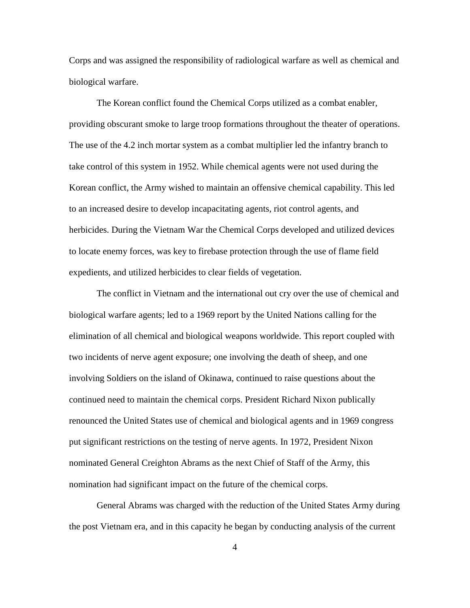Corps and was assigned the responsibility of radiological warfare as well as chemical and biological warfare.

The Korean conflict found the Chemical Corps utilized as a combat enabler, providing obscurant smoke to large troop formations throughout the theater of operations. The use of the 4.2 inch mortar system as a combat multiplier led the infantry branch to take control of this system in 1952. While chemical agents were not used during the Korean conflict, the Army wished to maintain an offensive chemical capability. This led to an increased desire to develop incapacitating agents, riot control agents, and herbicides. During the Vietnam War the Chemical Corps developed and utilized devices to locate enemy forces, was key to firebase protection through the use of flame field expedients, and utilized herbicides to clear fields of vegetation.

The conflict in Vietnam and the international out cry over the use of chemical and biological warfare agents; led to a 1969 report by the United Nations calling for the elimination of all chemical and biological weapons worldwide. This report coupled with two incidents of nerve agent exposure; one involving the death of sheep, and one involving Soldiers on the island of Okinawa, continued to raise questions about the continued need to maintain the chemical corps. President Richard Nixon publically renounced the United States use of chemical and biological agents and in 1969 congress put significant restrictions on the testing of nerve agents. In 1972, President Nixon nominated General Creighton Abrams as the next Chief of Staff of the Army, this nomination had significant impact on the future of the chemical corps.

General Abrams was charged with the reduction of the United States Army during the post Vietnam era, and in this capacity he began by conducting analysis of the current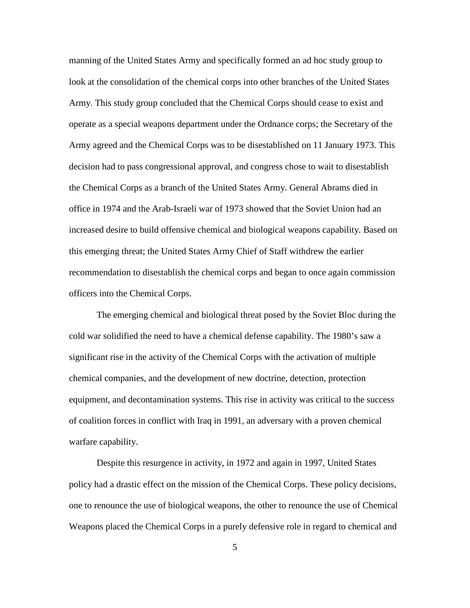manning of the United States Army and specifically formed an ad hoc study group to look at the consolidation of the chemical corps into other branches of the United States Army. This study group concluded that the Chemical Corps should cease to exist and operate as a special weapons department under the Ordnance corps; the Secretary of the Army agreed and the Chemical Corps was to be disestablished on 11 January 1973. This decision had to pass congressional approval, and congress chose to wait to disestablish the Chemical Corps as a branch of the United States Army. General Abrams died in office in 1974 and the Arab-Israeli war of 1973 showed that the Soviet Union had an increased desire to build offensive chemical and biological weapons capability. Based on this emerging threat; the United States Army Chief of Staff withdrew the earlier recommendation to disestablish the chemical corps and began to once again commission officers into the Chemical Corps.

The emerging chemical and biological threat posed by the Soviet Bloc during the cold war solidified the need to have a chemical defense capability. The 1980's saw a significant rise in the activity of the Chemical Corps with the activation of multiple chemical companies, and the development of new doctrine, detection, protection equipment, and decontamination systems. This rise in activity was critical to the success of coalition forces in conflict with Iraq in 1991, an adversary with a proven chemical warfare capability.

Despite this resurgence in activity, in 1972 and again in 1997, United States policy had a drastic effect on the mission of the Chemical Corps. These policy decisions, one to renounce the use of biological weapons, the other to renounce the use of Chemical Weapons placed the Chemical Corps in a purely defensive role in regard to chemical and

5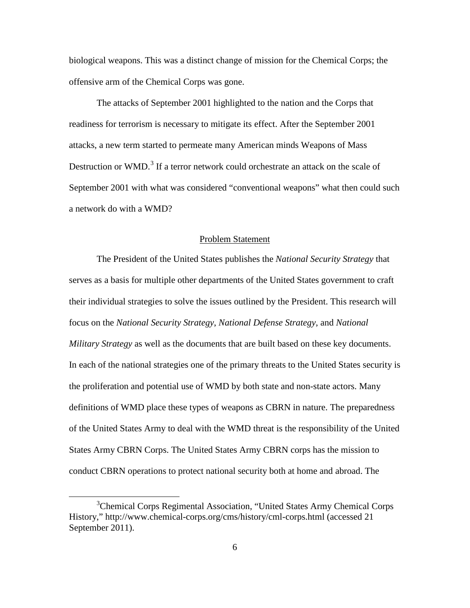biological weapons. This was a distinct change of mission for the Chemical Corps; the offensive arm of the Chemical Corps was gone.

The attacks of September 2001 highlighted to the nation and the Corps that readiness for terrorism is necessary to mitigate its effect. After the September 2001 attacks, a new term started to permeate many American minds Weapons of Mass Destruction or WMD.<sup>[3](#page-15-0)</sup> If a terror network could orchestrate an attack on the scale of September 2001 with what was considered "conventional weapons" what then could such a network do with a WMD?

#### Problem Statement

The President of the United States publishes the *National Security Strategy* that serves as a basis for multiple other departments of the United States government to craft their individual strategies to solve the issues outlined by the President. This research will focus on the *National Security Strategy*, *National Defense Strategy*, and *National Military Strategy* as well as the documents that are built based on these key documents. In each of the national strategies one of the primary threats to the United States security is the proliferation and potential use of WMD by both state and non-state actors. Many definitions of WMD place these types of weapons as CBRN in nature. The preparedness of the United States Army to deal with the WMD threat is the responsibility of the United States Army CBRN Corps. The United States Army CBRN corps has the mission to conduct CBRN operations to protect national security both at home and abroad. The

<span id="page-15-0"></span> $\frac{1}{3}$ <sup>3</sup>Chemical Corps Regimental Association, "United States Army Chemical Corps History," http://www.chemical-corps.org/cms/history/cml-corps.html (accessed 21 September 2011).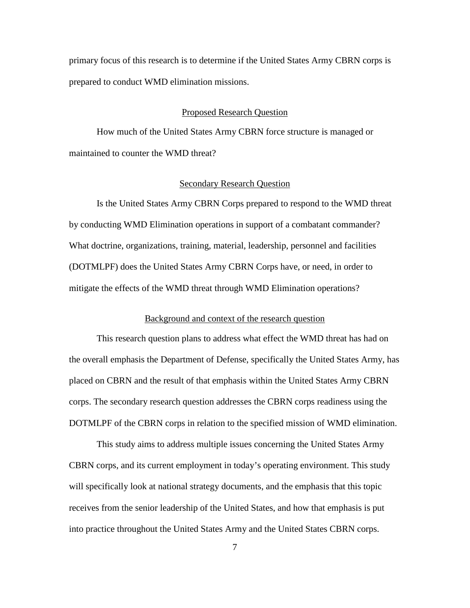primary focus of this research is to determine if the United States Army CBRN corps is prepared to conduct WMD elimination missions.

#### Proposed Research Question

How much of the United States Army CBRN force structure is managed or maintained to counter the WMD threat?

# Secondary Research Question

Is the United States Army CBRN Corps prepared to respond to the WMD threat by conducting WMD Elimination operations in support of a combatant commander? What doctrine, organizations, training, material, leadership, personnel and facilities (DOTMLPF) does the United States Army CBRN Corps have, or need, in order to mitigate the effects of the WMD threat through WMD Elimination operations?

#### Background and context of the research question

This research question plans to address what effect the WMD threat has had on the overall emphasis the Department of Defense, specifically the United States Army, has placed on CBRN and the result of that emphasis within the United States Army CBRN corps. The secondary research question addresses the CBRN corps readiness using the DOTMLPF of the CBRN corps in relation to the specified mission of WMD elimination.

This study aims to address multiple issues concerning the United States Army CBRN corps, and its current employment in today's operating environment. This study will specifically look at national strategy documents, and the emphasis that this topic receives from the senior leadership of the United States, and how that emphasis is put into practice throughout the United States Army and the United States CBRN corps.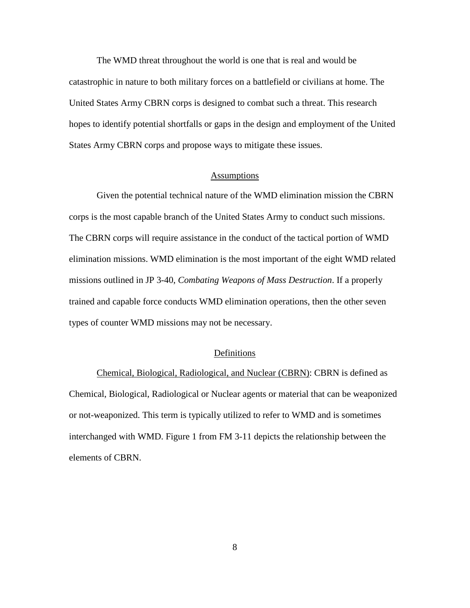The WMD threat throughout the world is one that is real and would be catastrophic in nature to both military forces on a battlefield or civilians at home. The United States Army CBRN corps is designed to combat such a threat. This research hopes to identify potential shortfalls or gaps in the design and employment of the United States Army CBRN corps and propose ways to mitigate these issues.

# Assumptions

Given the potential technical nature of the WMD elimination mission the CBRN corps is the most capable branch of the United States Army to conduct such missions. The CBRN corps will require assistance in the conduct of the tactical portion of WMD elimination missions. WMD elimination is the most important of the eight WMD related missions outlined in JP 3-40, *Combating Weapons of Mass Destruction*. If a properly trained and capable force conducts WMD elimination operations, then the other seven types of counter WMD missions may not be necessary.

#### Definitions

Chemical, Biological, Radiological, and Nuclear (CBRN): CBRN is defined as Chemical, Biological, Radiological or Nuclear agents or material that can be weaponized or not-weaponized. This term is typically utilized to refer to WMD and is sometimes interchanged with WMD. Figure 1 from FM 3-11 depicts the relationship between the elements of CBRN.

8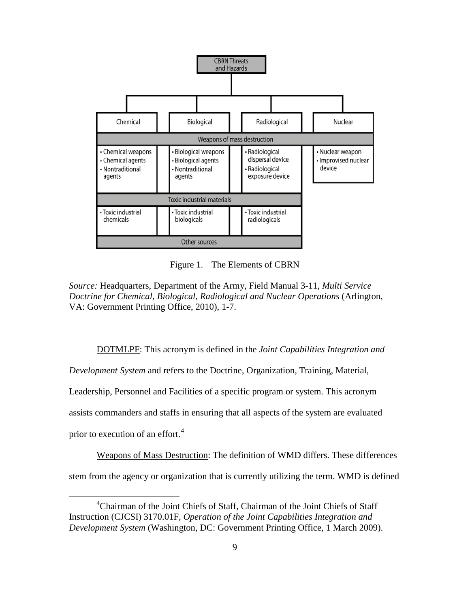

Figure 1. The Elements of CBRN

*Source:* Headquarters, Department of the Army, Field Manual 3-11, *Multi Service Doctrine for Chemical, Biological, Radiological and Nuclear Operations* (Arlington, VA: Government Printing Office, 2010), 1-7.

DOTMLPF: This acronym is defined in the *Joint Capabilities Integration and* 

*Development System* and refers to the Doctrine, Organization, Training, Material,

Leadership, Personnel and Facilities of a specific program or system. This acronym

assists commanders and staffs in ensuring that all aspects of the system are evaluated

prior to execution of an effort.<sup>[4](#page-18-0)</sup>

Weapons of Mass Destruction: The definition of WMD differs. These differences

stem from the agency or organization that is currently utilizing the term. WMD is defined

<span id="page-18-0"></span> $\overline{4}$ <sup>4</sup>Chairman of the Joint Chiefs of Staff, Chairman of the Joint Chiefs of Staff Instruction (CJCSI) 3170.01F, *Operation of the Joint Capabilities Integration and Development System* (Washington, DC: Government Printing Office, 1 March 2009).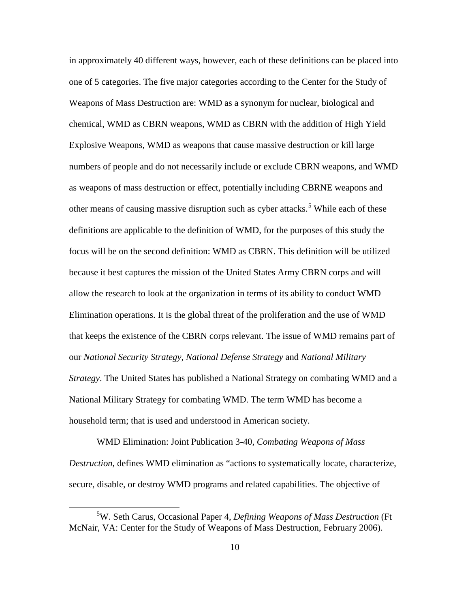in approximately 40 different ways, however, each of these definitions can be placed into one of 5 categories. The five major categories according to the Center for the Study of Weapons of Mass Destruction are: WMD as a synonym for nuclear, biological and chemical, WMD as CBRN weapons, WMD as CBRN with the addition of High Yield Explosive Weapons, WMD as weapons that cause massive destruction or kill large numbers of people and do not necessarily include or exclude CBRN weapons, and WMD as weapons of mass destruction or effect, potentially including CBRNE weapons and other means of causing massive disruption such as cyber attacks.<sup>[5](#page-19-0)</sup> While each of these definitions are applicable to the definition of WMD, for the purposes of this study the focus will be on the second definition: WMD as CBRN. This definition will be utilized because it best captures the mission of the United States Army CBRN corps and will allow the research to look at the organization in terms of its ability to conduct WMD Elimination operations. It is the global threat of the proliferation and the use of WMD that keeps the existence of the CBRN corps relevant. The issue of WMD remains part of our *National Security Strategy*, *National Defense Strategy* and *National Military Strategy*. The United States has published a National Strategy on combating WMD and a National Military Strategy for combating WMD. The term WMD has become a household term; that is used and understood in American society.

WMD Elimination: Joint Publication 3-40, *Combating Weapons of Mass Destruction*, defines WMD elimination as "actions to systematically locate, characterize, secure, disable, or destroy WMD programs and related capabilities. The objective of

<span id="page-19-0"></span> $rac{1}{5}$ W. Seth Carus, Occasional Paper 4, *Defining Weapons of Mass Destruction* (Ft McNair, VA: Center for the Study of Weapons of Mass Destruction, February 2006).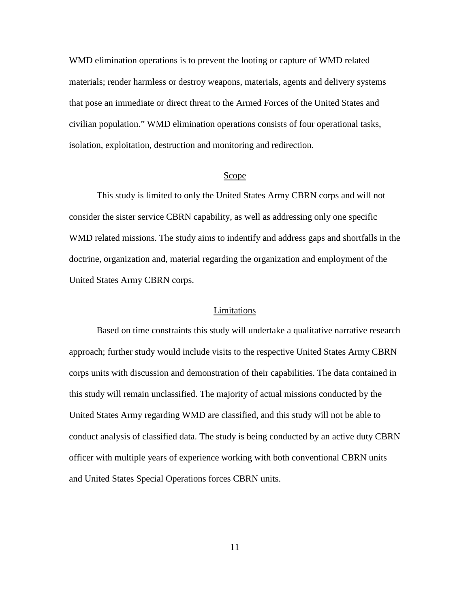WMD elimination operations is to prevent the looting or capture of WMD related materials; render harmless or destroy weapons, materials, agents and delivery systems that pose an immediate or direct threat to the Armed Forces of the United States and civilian population." WMD elimination operations consists of four operational tasks, isolation, exploitation, destruction and monitoring and redirection.

#### Scope

This study is limited to only the United States Army CBRN corps and will not consider the sister service CBRN capability, as well as addressing only one specific WMD related missions. The study aims to indentify and address gaps and shortfalls in the doctrine, organization and, material regarding the organization and employment of the United States Army CBRN corps.

#### Limitations

Based on time constraints this study will undertake a qualitative narrative research approach; further study would include visits to the respective United States Army CBRN corps units with discussion and demonstration of their capabilities. The data contained in this study will remain unclassified. The majority of actual missions conducted by the United States Army regarding WMD are classified, and this study will not be able to conduct analysis of classified data. The study is being conducted by an active duty CBRN officer with multiple years of experience working with both conventional CBRN units and United States Special Operations forces CBRN units.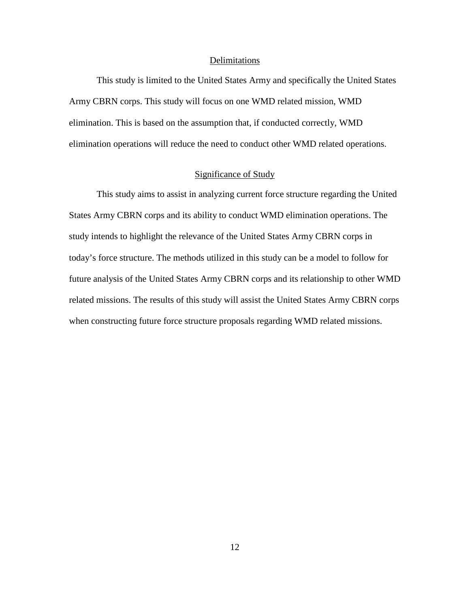#### Delimitations

This study is limited to the United States Army and specifically the United States Army CBRN corps. This study will focus on one WMD related mission, WMD elimination. This is based on the assumption that, if conducted correctly, WMD elimination operations will reduce the need to conduct other WMD related operations.

# Significance of Study

This study aims to assist in analyzing current force structure regarding the United States Army CBRN corps and its ability to conduct WMD elimination operations. The study intends to highlight the relevance of the United States Army CBRN corps in today's force structure. The methods utilized in this study can be a model to follow for future analysis of the United States Army CBRN corps and its relationship to other WMD related missions. The results of this study will assist the United States Army CBRN corps when constructing future force structure proposals regarding WMD related missions.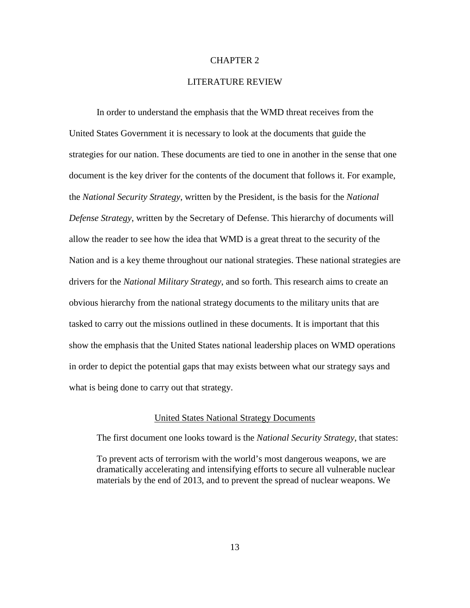# CHAPTER 2

# LITERATURE REVIEW

In order to understand the emphasis that the WMD threat receives from the United States Government it is necessary to look at the documents that guide the strategies for our nation. These documents are tied to one in another in the sense that one document is the key driver for the contents of the document that follows it. For example, the *National Security Strategy*, written by the President, is the basis for the *National Defense Strategy*, written by the Secretary of Defense. This hierarchy of documents will allow the reader to see how the idea that WMD is a great threat to the security of the Nation and is a key theme throughout our national strategies. These national strategies are drivers for the *National Military Strategy*, and so forth. This research aims to create an obvious hierarchy from the national strategy documents to the military units that are tasked to carry out the missions outlined in these documents. It is important that this show the emphasis that the United States national leadership places on WMD operations in order to depict the potential gaps that may exists between what our strategy says and what is being done to carry out that strategy.

# United States National Strategy Documents

The first document one looks toward is the *National Security Strategy*, that states:

To prevent acts of terrorism with the world's most dangerous weapons, we are dramatically accelerating and intensifying efforts to secure all vulnerable nuclear materials by the end of 2013, and to prevent the spread of nuclear weapons. We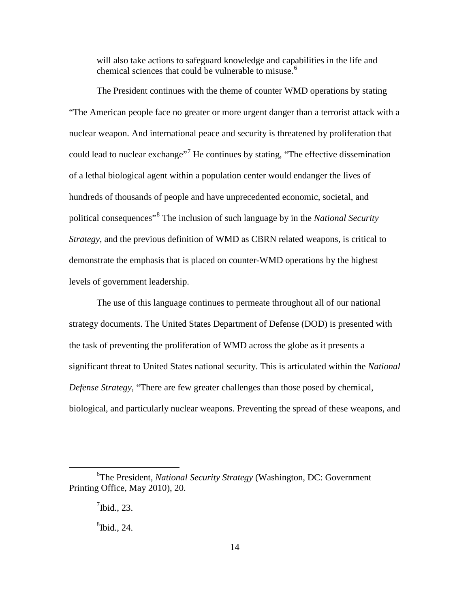will also take actions to safeguard knowledge and capabilities in the life and chemical sciences that could be vulnerable to misuse.<sup>[6](#page-23-0)</sup>

The President continues with the theme of counter WMD operations by stating "The American people face no greater or more urgent danger than a terrorist attack with a nuclear weapon. And international peace and security is threatened by proliferation that could lead to nuclear exchange"<sup>[7](#page-23-1)</sup> He continues by stating, "The effective dissemination" of a lethal biological agent within a population center would endanger the lives of hundreds of thousands of people and have unprecedented economic, societal, and political consequences"[8](#page-23-2) The inclusion of such language by in the *National Security Strategy*, and the previous definition of WMD as CBRN related weapons, is critical to demonstrate the emphasis that is placed on counter-WMD operations by the highest levels of government leadership.

The use of this language continues to permeate throughout all of our national strategy documents. The United States Department of Defense (DOD) is presented with the task of preventing the proliferation of WMD across the globe as it presents a significant threat to United States national security. This is articulated within the *National Defense Strategy*, "There are few greater challenges than those posed by chemical, biological, and particularly nuclear weapons. Preventing the spread of these weapons, and

<span id="page-23-2"></span><span id="page-23-1"></span><span id="page-23-0"></span> $\overline{6}$ The President, *National Security Strategy* (Washington, DC: Government Printing Office, May 2010), 20.

 $\int$ <sup>7</sup>Ibid., 23.

 ${}^{8}$ Ibid., 24.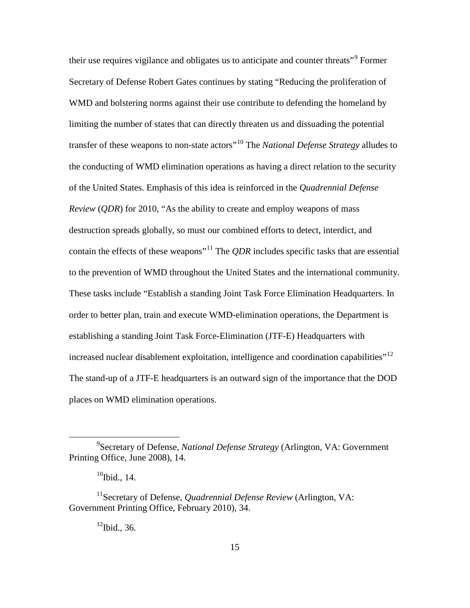their use requires vigilance and obligates us to anticipate and counter threats<sup>"[9](#page-24-0)</sup> Former Secretary of Defense Robert Gates continues by stating "Reducing the proliferation of WMD and bolstering norms against their use contribute to defending the homeland by limiting the number of states that can directly threaten us and dissuading the potential transfer of these weapons to non-state actors"[10](#page-24-1) The *National Defense Strategy* alludes to the conducting of WMD elimination operations as having a direct relation to the security of the United States. Emphasis of this idea is reinforced in the *Quadrennial Defense Review* (*QDR*) for 2010, "As the ability to create and employ weapons of mass destruction spreads globally, so must our combined efforts to detect, interdict, and contain the effects of these weapons<sup>"[11](#page-24-2)</sup> The *QDR* includes specific tasks that are essential to the prevention of WMD throughout the United States and the international community. These tasks include "Establish a standing Joint Task Force Elimination Headquarters. In order to better plan, train and execute WMD-elimination operations, the Department is establishing a standing Joint Task Force-Elimination (JTF-E) Headquarters with increased nuclear disablement exploitation, intelligence and coordination capabilities"<sup>[12](#page-24-3)</sup> The stand-up of a JTF-E headquarters is an outward sign of the importance that the DOD places on WMD elimination operations.

 $12$ Ibid., 36.

<span id="page-24-0"></span> $\frac{1}{9}$ Secretary of Defense, *National Defense Strategy* (Arlington, VA: Government Printing Office, June 2008), 14.

 $10$ Ibid., 14.

<span id="page-24-3"></span><span id="page-24-2"></span><span id="page-24-1"></span><sup>&</sup>lt;sup>11</sup>Secretary of Defense, *Quadrennial Defense Review* (Arlington, VA: Government Printing Office, February 2010), 34.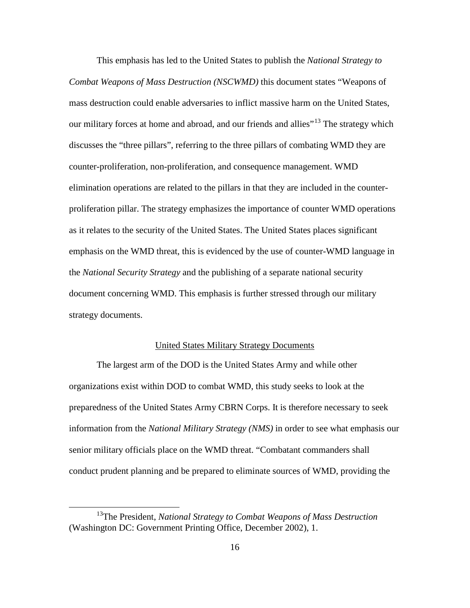This emphasis has led to the United States to publish the *National Strategy to Combat Weapons of Mass Destruction (NSCWMD)* this document states "Weapons of mass destruction could enable adversaries to inflict massive harm on the United States, our military forces at home and abroad, and our friends and allies"<sup>[13](#page-25-0)</sup> The strategy which discusses the "three pillars", referring to the three pillars of combating WMD they are counter-proliferation, non-proliferation, and consequence management. WMD elimination operations are related to the pillars in that they are included in the counterproliferation pillar. The strategy emphasizes the importance of counter WMD operations as it relates to the security of the United States. The United States places significant emphasis on the WMD threat, this is evidenced by the use of counter-WMD language in the *National Security Strategy* and the publishing of a separate national security document concerning WMD. This emphasis is further stressed through our military strategy documents.

# United States Military Strategy Documents

The largest arm of the DOD is the United States Army and while other organizations exist within DOD to combat WMD, this study seeks to look at the preparedness of the United States Army CBRN Corps. It is therefore necessary to seek information from the *National Military Strategy (NMS)* in order to see what emphasis our senior military officials place on the WMD threat. "Combatant commanders shall conduct prudent planning and be prepared to eliminate sources of WMD, providing the

<span id="page-25-0"></span> <sup>13</sup>The President, *National Strategy to Combat Weapons of Mass Destruction* (Washington DC: Government Printing Office, December 2002), 1.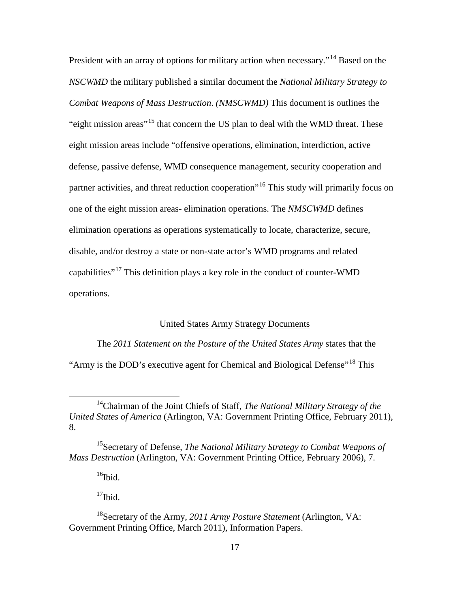President with an array of options for military action when necessary."<sup>[14](#page-26-0)</sup> Based on the *NSCWMD* the military published a similar document the *National Military Strategy to Combat Weapons of Mass Destruction*. *(NMSCWMD)* This document is outlines the "eight mission areas"<sup>[15](#page-26-1)</sup> that concern the US plan to deal with the WMD threat. These eight mission areas include "offensive operations, elimination, interdiction, active defense, passive defense, WMD consequence management, security cooperation and partner activities, and threat reduction cooperation"<sup>[16](#page-26-2)</sup> This study will primarily focus on one of the eight mission areas- elimination operations. The *NMSCWMD* defines elimination operations as operations systematically to locate, characterize, secure, disable, and/or destroy a state or non-state actor's WMD programs and related capabilities"[17](#page-26-3) This definition plays a key role in the conduct of counter-WMD operations.

# United States Army Strategy Documents

The *2011 Statement on the Posture of the United States Army* states that the "Army is the DOD's executive agent for Chemical and Biological Defense"[18](#page-26-4) This

 $16$ Ibid.

 $17$ Ibid.

<span id="page-26-0"></span> <sup>14</sup>Chairman of the Joint Chiefs of Staff, *The National Military Strategy of the United States of America* (Arlington, VA: Government Printing Office, February 2011), 8.

<span id="page-26-2"></span><span id="page-26-1"></span><sup>15</sup>Secretary of Defense, *The National Military Strategy to Combat Weapons of Mass Destruction* (Arlington, VA: Government Printing Office, February 2006), 7.

<span id="page-26-4"></span><span id="page-26-3"></span><sup>18</sup>Secretary of the Army, *2011 Army Posture Statement* (Arlington, VA: Government Printing Office, March 2011), Information Papers.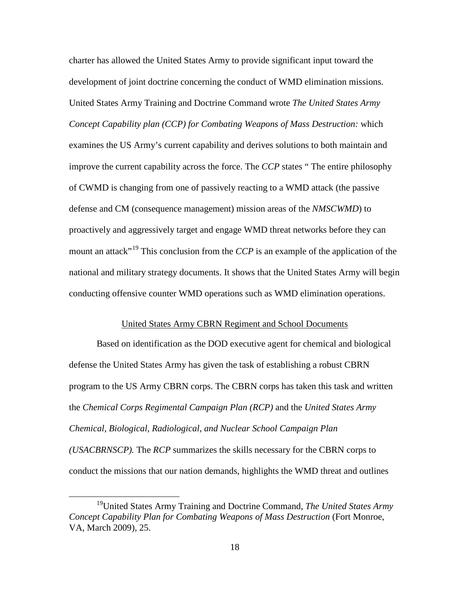charter has allowed the United States Army to provide significant input toward the development of joint doctrine concerning the conduct of WMD elimination missions. United States Army Training and Doctrine Command wrote *The United States Army Concept Capability plan (CCP) for Combating Weapons of Mass Destruction:* which examines the US Army's current capability and derives solutions to both maintain and improve the current capability across the force. The *CCP* states " The entire philosophy of CWMD is changing from one of passively reacting to a WMD attack (the passive defense and CM (consequence management) mission areas of the *NMSCWMD*) to proactively and aggressively target and engage WMD threat networks before they can mount an attack<sup>"[19](#page-27-0)</sup> This conclusion from the *CCP* is an example of the application of the national and military strategy documents. It shows that the United States Army will begin conducting offensive counter WMD operations such as WMD elimination operations.

# United States Army CBRN Regiment and School Documents

Based on identification as the DOD executive agent for chemical and biological defense the United States Army has given the task of establishing a robust CBRN program to the US Army CBRN corps. The CBRN corps has taken this task and written the *Chemical Corps Regimental Campaign Plan (RCP)* and the *United States Army Chemical, Biological, Radiological, and Nuclear School Campaign Plan (USACBRNSCP).* The *RCP* summarizes the skills necessary for the CBRN corps to conduct the missions that our nation demands, highlights the WMD threat and outlines

<span id="page-27-0"></span> <sup>19</sup>United States Army Training and Doctrine Command, *The United States Army Concept Capability Plan for Combating Weapons of Mass Destruction* (Fort Monroe, VA, March 2009), 25.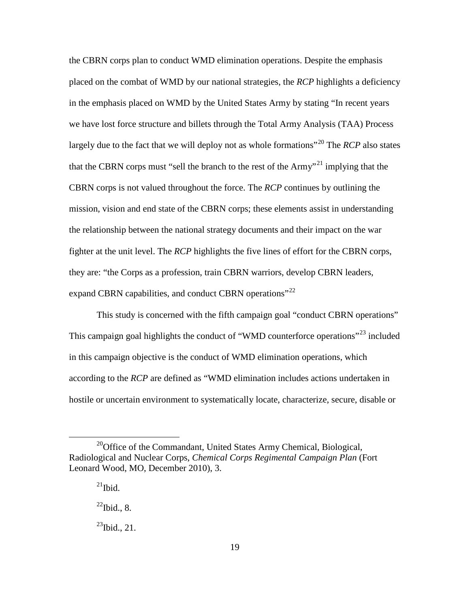the CBRN corps plan to conduct WMD elimination operations. Despite the emphasis placed on the combat of WMD by our national strategies, the *RCP* highlights a deficiency in the emphasis placed on WMD by the United States Army by stating "In recent years we have lost force structure and billets through the Total Army Analysis (TAA) Process largely due to the fact that we will deploy not as whole formations<sup>"[20](#page-28-0)</sup> The *RCP* also states that the CBRN corps must "sell the branch to the rest of the  $A<sup>21</sup>$  $A<sup>21</sup>$  $A<sup>21</sup>$  implying that the CBRN corps is not valued throughout the force. The *RCP* continues by outlining the mission, vision and end state of the CBRN corps; these elements assist in understanding the relationship between the national strategy documents and their impact on the war fighter at the unit level. The *RCP* highlights the five lines of effort for the CBRN corps, they are: "the Corps as a profession, train CBRN warriors, develop CBRN leaders, expand CBRN capabilities, and conduct CBRN operations<sup> $12$ </sup>

This study is concerned with the fifth campaign goal "conduct CBRN operations" This campaign goal highlights the conduct of "WMD counterforce operations"<sup>[23](#page-28-3)</sup> included in this campaign objective is the conduct of WMD elimination operations, which according to the *RCP* are defined as "WMD elimination includes actions undertaken in hostile or uncertain environment to systematically locate, characterize, secure, disable or

<span id="page-28-2"></span><span id="page-28-1"></span><span id="page-28-0"></span><sup>&</sup>lt;sup>20</sup>Office of the Commandant, United States Army Chemical, Biological, Radiological and Nuclear Corps, *Chemical Corps Regimental Campaign Plan* (Fort Leonard Wood, MO, December 2010), 3.

 $^{21}$ Ibid.

 $^{22}$ Ibid., 8.

<span id="page-28-3"></span> $^{23}$ Ibid., 21.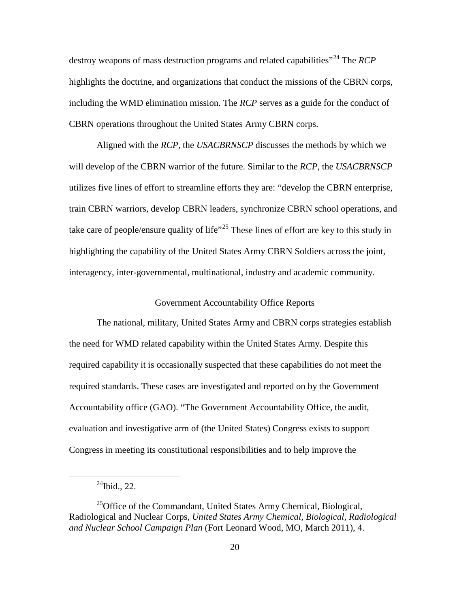destroy weapons of mass destruction programs and related capabilities<sup>"[24](#page-29-0)</sup> The *RCP* highlights the doctrine, and organizations that conduct the missions of the CBRN corps, including the WMD elimination mission. The *RCP* serves as a guide for the conduct of CBRN operations throughout the United States Army CBRN corps.

Aligned with the *RCP*, the *USACBRNSCP* discusses the methods by which we will develop of the CBRN warrior of the future. Similar to the *RCP*, the *USACBRNSCP* utilizes five lines of effort to streamline efforts they are: "develop the CBRN enterprise, train CBRN warriors, develop CBRN leaders, synchronize CBRN school operations, and take care of people/ensure quality of life"<sup>[25](#page-29-1)</sup> These lines of effort are key to this study in highlighting the capability of the United States Army CBRN Soldiers across the joint, interagency, inter-governmental, multinational, industry and academic community.

# Government Accountability Office Reports

The national, military, United States Army and CBRN corps strategies establish the need for WMD related capability within the United States Army. Despite this required capability it is occasionally suspected that these capabilities do not meet the required standards. These cases are investigated and reported on by the Government Accountability office (GAO). "The Government Accountability Office, the audit, evaluation and investigative arm of (the United States) Congress exists to support Congress in meeting its constitutional responsibilities and to help improve the

 $^{24}$ Ibid., 22.

<span id="page-29-1"></span><span id="page-29-0"></span> $^{25}$ Office of the Commandant, United States Army Chemical, Biological, Radiological and Nuclear Corps, *United States Army Chemical, Biological, Radiological and Nuclear School Campaign Plan* (Fort Leonard Wood, MO, March 2011), 4.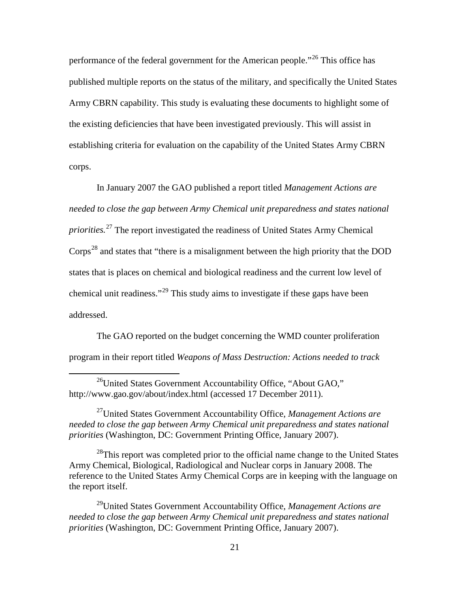performance of the federal government for the American people."<sup>[26](#page-30-0)</sup> This office has published multiple reports on the status of the military, and specifically the United States Army CBRN capability. This study is evaluating these documents to highlight some of the existing deficiencies that have been investigated previously. This will assist in establishing criteria for evaluation on the capability of the United States Army CBRN corps.

In January 2007 the GAO published a report titled *Management Actions are needed to close the gap between Army Chemical unit preparedness and states national priorities.*[27](#page-30-1) The report investigated the readiness of United States Army Chemical  $Corps<sup>28</sup>$  $Corps<sup>28</sup>$  $Corps<sup>28</sup>$  and states that "there is a misalignment between the high priority that the DOD states that is places on chemical and biological readiness and the current low level of chemical unit readiness."<sup>[29](#page-30-3)</sup> This study aims to investigate if these gaps have been addressed.

The GAO reported on the budget concerning the WMD counter proliferation program in their report titled *Weapons of Mass Destruction: Actions needed to track* 

<span id="page-30-1"></span>27United States Government Accountability Office, *Management Actions are needed to close the gap between Army Chemical unit preparedness and states national priorities* (Washington, DC: Government Printing Office, January 2007).

<span id="page-30-2"></span> $^{28}$ This report was completed prior to the official name change to the United States Army Chemical, Biological, Radiological and Nuclear corps in January 2008. The reference to the United States Army Chemical Corps are in keeping with the language on the report itself.

<span id="page-30-3"></span>29United States Government Accountability Office, *Management Actions are*  needed to close the gap between Army Chemical unit preparedness and states national *priorities* (Washington, DC: Government Printing Office, January 2007).

<span id="page-30-0"></span><sup>&</sup>lt;sup>26</sup>United States Government Accountability Office, "About GAO," http://www.gao.gov/about/index.html (accessed 17 December 2011).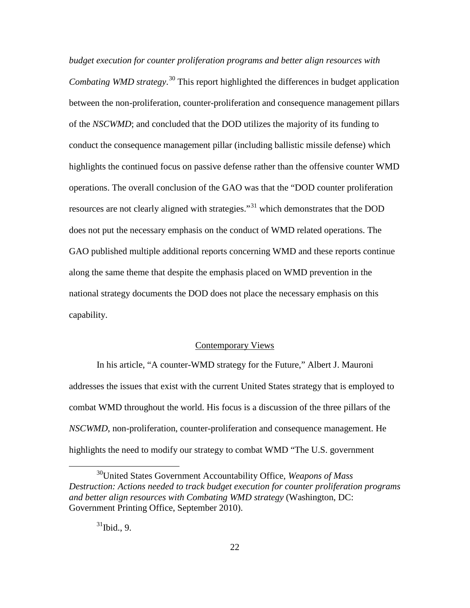*budget execution for counter proliferation programs and better align resources with Combating WMD strategy*. [30](#page-31-0) This report highlighted the differences in budget application between the non-proliferation, counter-proliferation and consequence management pillars of the *NSCWMD*; and concluded that the DOD utilizes the majority of its funding to conduct the consequence management pillar (including ballistic missile defense) which highlights the continued focus on passive defense rather than the offensive counter WMD operations. The overall conclusion of the GAO was that the "DOD counter proliferation resources are not clearly aligned with strategies.<sup>[31](#page-31-1)</sup> which demonstrates that the DOD does not put the necessary emphasis on the conduct of WMD related operations. The GAO published multiple additional reports concerning WMD and these reports continue along the same theme that despite the emphasis placed on WMD prevention in the national strategy documents the DOD does not place the necessary emphasis on this capability.

# Contemporary Views

In his article, "A counter-WMD strategy for the Future," Albert J. Mauroni addresses the issues that exist with the current United States strategy that is employed to combat WMD throughout the world. His focus is a discussion of the three pillars of the *NSCWMD*, non-proliferation, counter-proliferation and consequence management. He highlights the need to modify our strategy to combat WMD "The U.S. government

<span id="page-31-1"></span><span id="page-31-0"></span> <sup>30</sup>United States Government Accountability Office, *Weapons of Mass Destruction: Actions needed to track budget execution for counter proliferation programs and better align resources with Combating WMD strategy* (Washington, DC: Government Printing Office, September 2010).

 $31$ Ibid., 9.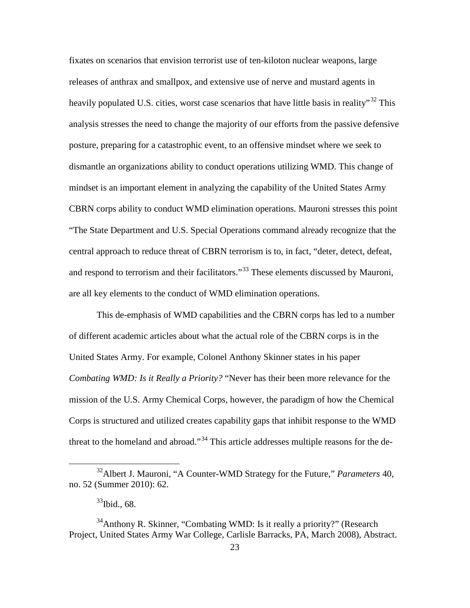fixates on scenarios that envision terrorist use of ten-kiloton nuclear weapons, large releases of anthrax and smallpox, and extensive use of nerve and mustard agents in heavily populated U.S. cities, worst case scenarios that have little basis in reality<sup>[32](#page-32-0)</sup> This analysis stresses the need to change the majority of our efforts from the passive defensive posture, preparing for a catastrophic event, to an offensive mindset where we seek to dismantle an organizations ability to conduct operations utilizing WMD. This change of mindset is an important element in analyzing the capability of the United States Army CBRN corps ability to conduct WMD elimination operations. Mauroni stresses this point "The State Department and U.S. Special Operations command already recognize that the central approach to reduce threat of CBRN terrorism is to, in fact, "deter, detect, defeat, and respond to terrorism and their facilitators."<sup>[33](#page-32-1)</sup> These elements discussed by Mauroni, are all key elements to the conduct of WMD elimination operations.

This de-emphasis of WMD capabilities and the CBRN corps has led to a number of different academic articles about what the actual role of the CBRN corps is in the United States Army. For example, Colonel Anthony Skinner states in his paper *Combating WMD: Is it Really a Priority?* "Never has their been more relevance for the mission of the U.S. Army Chemical Corps, however, the paradigm of how the Chemical Corps is structured and utilized creates capability gaps that inhibit response to the WMD threat to the homeland and abroad."<sup>[34](#page-32-2)</sup> This article addresses multiple reasons for the de-

<span id="page-32-0"></span> <sup>32</sup>Albert J. Mauroni, "A Counter-WMD Strategy for the Future," *Parameters* 40, no. 52 (Summer 2010): 62.

 $33$ Ibid., 68.

<span id="page-32-2"></span><span id="page-32-1"></span><sup>&</sup>lt;sup>34</sup>Anthony R. Skinner, "Combating WMD: Is it really a priority?" (Research Project, United States Army War College, Carlisle Barracks, PA, March 2008), Abstract.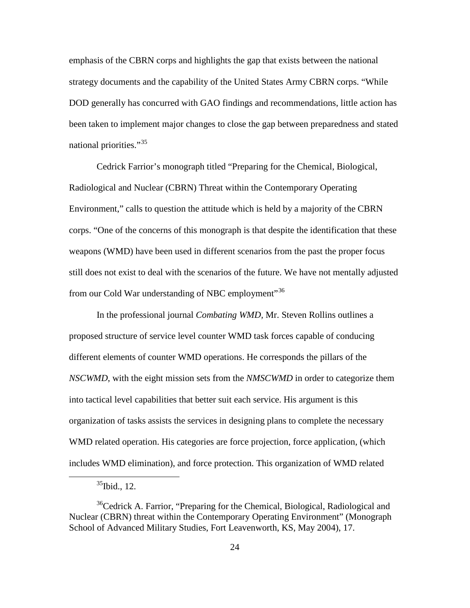emphasis of the CBRN corps and highlights the gap that exists between the national strategy documents and the capability of the United States Army CBRN corps. "While DOD generally has concurred with GAO findings and recommendations, little action has been taken to implement major changes to close the gap between preparedness and stated national priorities."<sup>[35](#page-33-0)</sup>

Cedrick Farrior's monograph titled "Preparing for the Chemical, Biological, Radiological and Nuclear (CBRN) Threat within the Contemporary Operating Environment," calls to question the attitude which is held by a majority of the CBRN corps. "One of the concerns of this monograph is that despite the identification that these weapons (WMD) have been used in different scenarios from the past the proper focus still does not exist to deal with the scenarios of the future. We have not mentally adjusted from our Cold War understanding of NBC employment<sup>[36](#page-33-1)</sup>

In the professional journal *Combating WMD,* Mr. Steven Rollins outlines a proposed structure of service level counter WMD task forces capable of conducing different elements of counter WMD operations. He corresponds the pillars of the *NSCWMD*, with the eight mission sets from the *NMSCWMD* in order to categorize them into tactical level capabilities that better suit each service. His argument is this organization of tasks assists the services in designing plans to complete the necessary WMD related operation. His categories are force projection, force application, (which includes WMD elimination), and force protection. This organization of WMD related

 $35$ Ibid., 12.

<span id="page-33-1"></span><span id="page-33-0"></span><sup>&</sup>lt;sup>36</sup>Cedrick A. Farrior, "Preparing for the Chemical, Biological, Radiological and Nuclear (CBRN) threat within the Contemporary Operating Environment" (Monograph School of Advanced Military Studies, Fort Leavenworth, KS, May 2004), 17.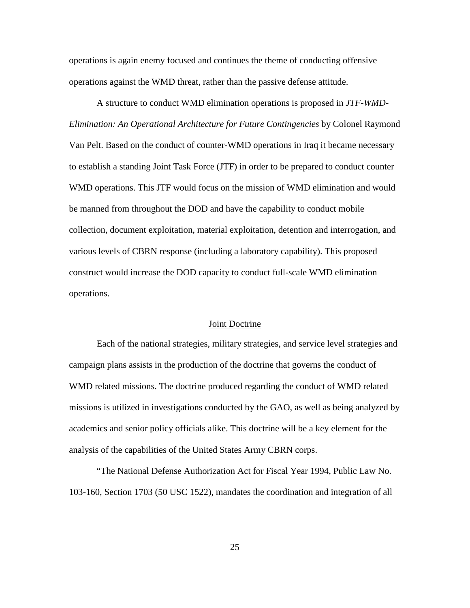operations is again enemy focused and continues the theme of conducting offensive operations against the WMD threat, rather than the passive defense attitude.

A structure to conduct WMD elimination operations is proposed in *JTF-WMD-Elimination: An Operational Architecture for Future Contingencies* by Colonel Raymond Van Pelt. Based on the conduct of counter-WMD operations in Iraq it became necessary to establish a standing Joint Task Force (JTF) in order to be prepared to conduct counter WMD operations. This JTF would focus on the mission of WMD elimination and would be manned from throughout the DOD and have the capability to conduct mobile collection, document exploitation, material exploitation, detention and interrogation, and various levels of CBRN response (including a laboratory capability). This proposed construct would increase the DOD capacity to conduct full-scale WMD elimination operations.

#### Joint Doctrine

Each of the national strategies, military strategies, and service level strategies and campaign plans assists in the production of the doctrine that governs the conduct of WMD related missions. The doctrine produced regarding the conduct of WMD related missions is utilized in investigations conducted by the GAO, as well as being analyzed by academics and senior policy officials alike. This doctrine will be a key element for the analysis of the capabilities of the United States Army CBRN corps.

"The National Defense Authorization Act for Fiscal Year 1994, Public Law No. 103-160, Section 1703 (50 USC 1522), mandates the coordination and integration of all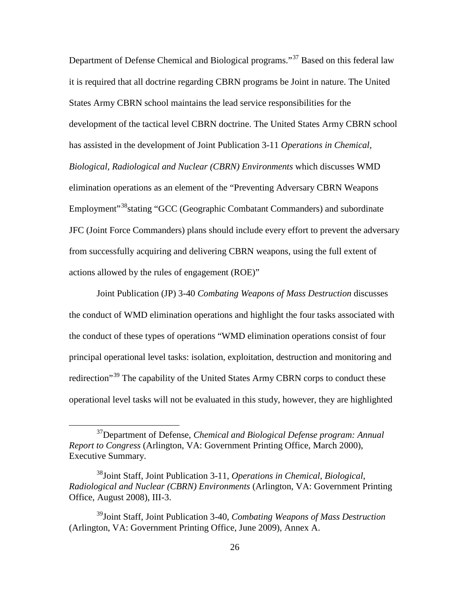Department of Defense Chemical and Biological programs."<sup>[37](#page-35-0)</sup> Based on this federal law it is required that all doctrine regarding CBRN programs be Joint in nature. The United States Army CBRN school maintains the lead service responsibilities for the development of the tactical level CBRN doctrine. The United States Army CBRN school has assisted in the development of Joint Publication 3-11 *Operations in Chemical, Biological, Radiological and Nuclear (CBRN) Environments* which discusses WMD elimination operations as an element of the "Preventing Adversary CBRN Weapons Employment<sup>"38</sup>stating "GCC (Geographic Combatant Commanders) and subordinate JFC (Joint Force Commanders) plans should include every effort to prevent the adversary from successfully acquiring and delivering CBRN weapons, using the full extent of actions allowed by the rules of engagement (ROE)"

Joint Publication (JP) 3-40 *Combating Weapons of Mass Destruction* discusses the conduct of WMD elimination operations and highlight the four tasks associated with the conduct of these types of operations "WMD elimination operations consist of four principal operational level tasks: isolation, exploitation, destruction and monitoring and redirection<sup>[39](#page-35-2)</sup> The capability of the United States Army CBRN corps to conduct these operational level tasks will not be evaluated in this study, however, they are highlighted

<span id="page-35-0"></span> <sup>37</sup>Department of Defense, *Chemical and Biological Defense program: Annual Report to Congress* (Arlington, VA: Government Printing Office, March 2000), Executive Summary.

<span id="page-35-1"></span><sup>38</sup>Joint Staff, Joint Publication 3-11, *Operations in Chemical, Biological, Radiological and Nuclear (CBRN) Environments* (Arlington, VA: Government Printing Office, August 2008), III-3.

<span id="page-35-2"></span><sup>39</sup>Joint Staff, Joint Publication 3-40, *Combating Weapons of Mass Destruction* (Arlington, VA: Government Printing Office, June 2009), Annex A.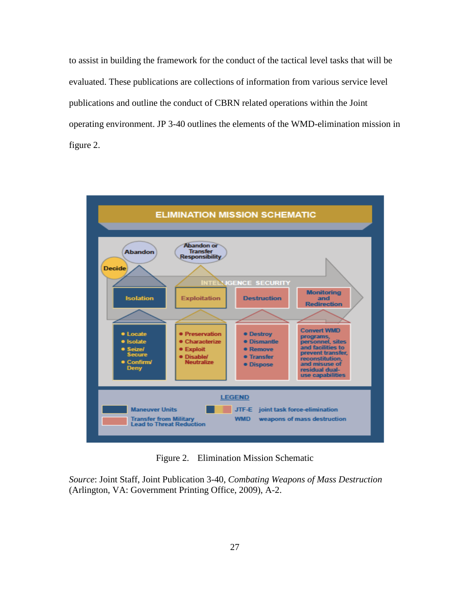to assist in building the framework for the conduct of the tactical level tasks that will be evaluated. These publications are collections of information from various service level publications and outline the conduct of CBRN related operations within the Joint operating environment. JP 3-40 outlines the elements of the WMD-elimination mission in figure 2.



Figure 2. Elimination Mission Schematic

*Source*: Joint Staff, Joint Publication 3-40, *Combating Weapons of Mass Destruction* (Arlington, VA: Government Printing Office, 2009), A-2.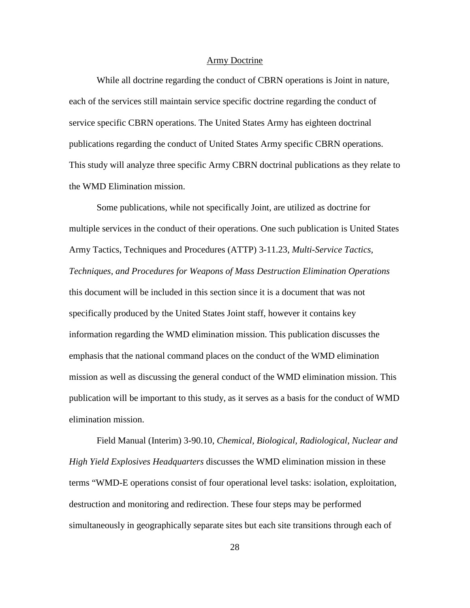## Army Doctrine

While all doctrine regarding the conduct of CBRN operations is Joint in nature, each of the services still maintain service specific doctrine regarding the conduct of service specific CBRN operations. The United States Army has eighteen doctrinal publications regarding the conduct of United States Army specific CBRN operations. This study will analyze three specific Army CBRN doctrinal publications as they relate to the WMD Elimination mission.

Some publications, while not specifically Joint, are utilized as doctrine for multiple services in the conduct of their operations. One such publication is United States Army Tactics, Techniques and Procedures (ATTP) 3-11.23*, Multi-Service Tactics, Techniques, and Procedures for Weapons of Mass Destruction Elimination Operations* this document will be included in this section since it is a document that was not specifically produced by the United States Joint staff, however it contains key information regarding the WMD elimination mission. This publication discusses the emphasis that the national command places on the conduct of the WMD elimination mission as well as discussing the general conduct of the WMD elimination mission. This publication will be important to this study, as it serves as a basis for the conduct of WMD elimination mission.

Field Manual (Interim) 3-90.10, *Chemical, Biological, Radiological, Nuclear and High Yield Explosives Headquarters* discusses the WMD elimination mission in these terms "WMD-E operations consist of four operational level tasks: isolation, exploitation, destruction and monitoring and redirection. These four steps may be performed simultaneously in geographically separate sites but each site transitions through each of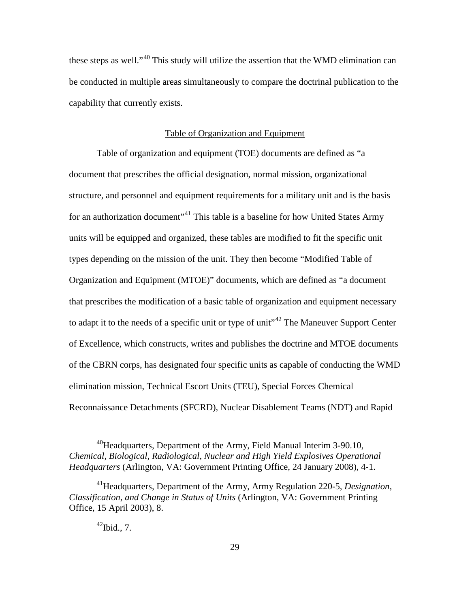these steps as well."<sup>[40](#page-38-0)</sup> This study will utilize the assertion that the WMD elimination can be conducted in multiple areas simultaneously to compare the doctrinal publication to the capability that currently exists.

#### Table of Organization and Equipment

Table of organization and equipment (TOE) documents are defined as "a document that prescribes the official designation, normal mission, organizational structure, and personnel and equipment requirements for a military unit and is the basis for an authorization document<sup>3[41](#page-38-1)</sup> This table is a baseline for how United States Army units will be equipped and organized, these tables are modified to fit the specific unit types depending on the mission of the unit. They then become "Modified Table of Organization and Equipment (MTOE)" documents, which are defined as "a document that prescribes the modification of a basic table of organization and equipment necessary to adapt it to the needs of a specific unit or type of unit<sup> $1/42$  $1/42$ </sup> The Maneuver Support Center of Excellence, which constructs, writes and publishes the doctrine and MTOE documents of the CBRN corps, has designated four specific units as capable of conducting the WMD elimination mission, Technical Escort Units (TEU), Special Forces Chemical Reconnaissance Detachments (SFCRD), Nuclear Disablement Teams (NDT) and Rapid

<span id="page-38-0"></span> $^{40}$ Headquarters, Department of the Army, Field Manual Interim 3-90.10, *Chemical, Biological, Radiological, Nuclear and High Yield Explosives Operational Headquarters* (Arlington, VA: Government Printing Office, 24 January 2008), 4-1.

<span id="page-38-2"></span><span id="page-38-1"></span><sup>41</sup>Headquarters, Department of the Army, Army Regulation 220-5, *Designation, Classification, and Change in Status of Units* (Arlington, VA: Government Printing Office, 15 April 2003), 8.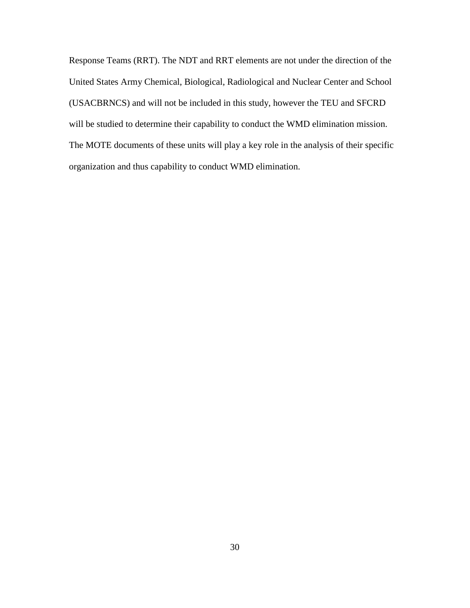Response Teams (RRT). The NDT and RRT elements are not under the direction of the United States Army Chemical, Biological, Radiological and Nuclear Center and School (USACBRNCS) and will not be included in this study, however the TEU and SFCRD will be studied to determine their capability to conduct the WMD elimination mission. The MOTE documents of these units will play a key role in the analysis of their specific organization and thus capability to conduct WMD elimination.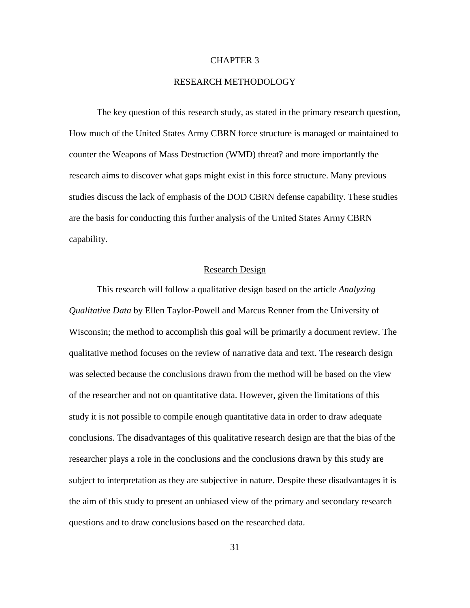## CHAPTER 3

## RESEARCH METHODOLOGY

The key question of this research study, as stated in the primary research question, How much of the United States Army CBRN force structure is managed or maintained to counter the Weapons of Mass Destruction (WMD) threat? and more importantly the research aims to discover what gaps might exist in this force structure. Many previous studies discuss the lack of emphasis of the DOD CBRN defense capability. These studies are the basis for conducting this further analysis of the United States Army CBRN capability.

# Research Design

This research will follow a qualitative design based on the article *Analyzing Qualitative Data* by Ellen Taylor-Powell and Marcus Renner from the University of Wisconsin; the method to accomplish this goal will be primarily a document review. The qualitative method focuses on the review of narrative data and text. The research design was selected because the conclusions drawn from the method will be based on the view of the researcher and not on quantitative data. However, given the limitations of this study it is not possible to compile enough quantitative data in order to draw adequate conclusions. The disadvantages of this qualitative research design are that the bias of the researcher plays a role in the conclusions and the conclusions drawn by this study are subject to interpretation as they are subjective in nature. Despite these disadvantages it is the aim of this study to present an unbiased view of the primary and secondary research questions and to draw conclusions based on the researched data.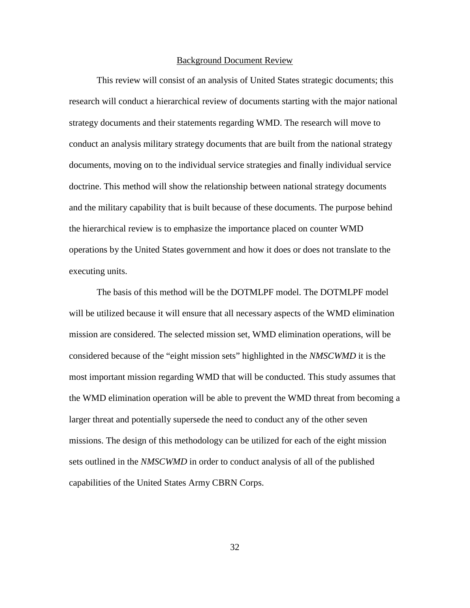#### Background Document Review

This review will consist of an analysis of United States strategic documents; this research will conduct a hierarchical review of documents starting with the major national strategy documents and their statements regarding WMD. The research will move to conduct an analysis military strategy documents that are built from the national strategy documents, moving on to the individual service strategies and finally individual service doctrine. This method will show the relationship between national strategy documents and the military capability that is built because of these documents. The purpose behind the hierarchical review is to emphasize the importance placed on counter WMD operations by the United States government and how it does or does not translate to the executing units.

The basis of this method will be the DOTMLPF model. The DOTMLPF model will be utilized because it will ensure that all necessary aspects of the WMD elimination mission are considered. The selected mission set, WMD elimination operations, will be considered because of the "eight mission sets" highlighted in the *NMSCWMD* it is the most important mission regarding WMD that will be conducted. This study assumes that the WMD elimination operation will be able to prevent the WMD threat from becoming a larger threat and potentially supersede the need to conduct any of the other seven missions. The design of this methodology can be utilized for each of the eight mission sets outlined in the *NMSCWMD* in order to conduct analysis of all of the published capabilities of the United States Army CBRN Corps.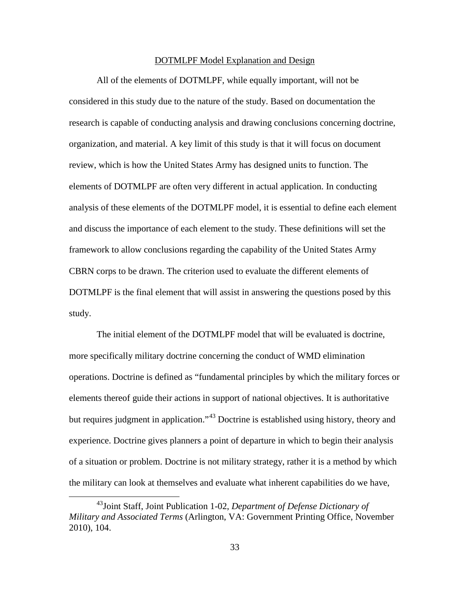#### DOTMLPF Model Explanation and Design

All of the elements of DOTMLPF, while equally important, will not be considered in this study due to the nature of the study. Based on documentation the research is capable of conducting analysis and drawing conclusions concerning doctrine, organization, and material. A key limit of this study is that it will focus on document review, which is how the United States Army has designed units to function. The elements of DOTMLPF are often very different in actual application. In conducting analysis of these elements of the DOTMLPF model, it is essential to define each element and discuss the importance of each element to the study. These definitions will set the framework to allow conclusions regarding the capability of the United States Army CBRN corps to be drawn. The criterion used to evaluate the different elements of DOTMLPF is the final element that will assist in answering the questions posed by this study.

The initial element of the DOTMLPF model that will be evaluated is doctrine, more specifically military doctrine concerning the conduct of WMD elimination operations. Doctrine is defined as "fundamental principles by which the military forces or elements thereof guide their actions in support of national objectives. It is authoritative but requires judgment in application."<sup>[43](#page-42-0)</sup> Doctrine is established using history, theory and experience. Doctrine gives planners a point of departure in which to begin their analysis of a situation or problem. Doctrine is not military strategy, rather it is a method by which the military can look at themselves and evaluate what inherent capabilities do we have,

<span id="page-42-0"></span> <sup>43</sup>Joint Staff, Joint Publication 1-02, *Department of Defense Dictionary of Military and Associated Terms* (Arlington, VA: Government Printing Office, November 2010), 104.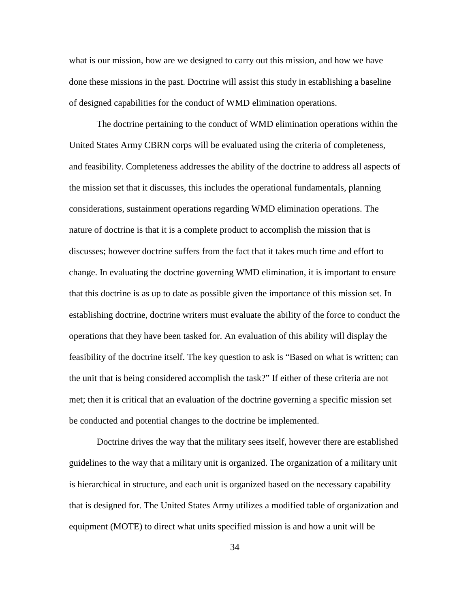what is our mission, how are we designed to carry out this mission, and how we have done these missions in the past. Doctrine will assist this study in establishing a baseline of designed capabilities for the conduct of WMD elimination operations.

The doctrine pertaining to the conduct of WMD elimination operations within the United States Army CBRN corps will be evaluated using the criteria of completeness, and feasibility. Completeness addresses the ability of the doctrine to address all aspects of the mission set that it discusses, this includes the operational fundamentals, planning considerations, sustainment operations regarding WMD elimination operations. The nature of doctrine is that it is a complete product to accomplish the mission that is discusses; however doctrine suffers from the fact that it takes much time and effort to change. In evaluating the doctrine governing WMD elimination, it is important to ensure that this doctrine is as up to date as possible given the importance of this mission set. In establishing doctrine, doctrine writers must evaluate the ability of the force to conduct the operations that they have been tasked for. An evaluation of this ability will display the feasibility of the doctrine itself. The key question to ask is "Based on what is written; can the unit that is being considered accomplish the task?" If either of these criteria are not met; then it is critical that an evaluation of the doctrine governing a specific mission set be conducted and potential changes to the doctrine be implemented.

Doctrine drives the way that the military sees itself, however there are established guidelines to the way that a military unit is organized. The organization of a military unit is hierarchical in structure, and each unit is organized based on the necessary capability that is designed for. The United States Army utilizes a modified table of organization and equipment (MOTE) to direct what units specified mission is and how a unit will be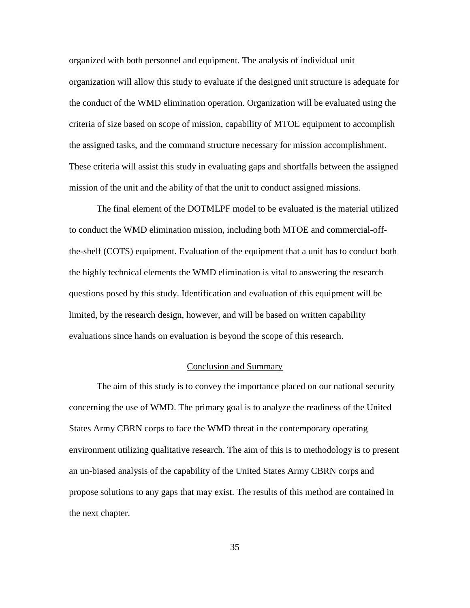organized with both personnel and equipment. The analysis of individual unit organization will allow this study to evaluate if the designed unit structure is adequate for the conduct of the WMD elimination operation. Organization will be evaluated using the criteria of size based on scope of mission, capability of MTOE equipment to accomplish the assigned tasks, and the command structure necessary for mission accomplishment. These criteria will assist this study in evaluating gaps and shortfalls between the assigned mission of the unit and the ability of that the unit to conduct assigned missions.

The final element of the DOTMLPF model to be evaluated is the material utilized to conduct the WMD elimination mission, including both MTOE and commercial-offthe-shelf (COTS) equipment. Evaluation of the equipment that a unit has to conduct both the highly technical elements the WMD elimination is vital to answering the research questions posed by this study. Identification and evaluation of this equipment will be limited, by the research design, however, and will be based on written capability evaluations since hands on evaluation is beyond the scope of this research.

## Conclusion and Summary

The aim of this study is to convey the importance placed on our national security concerning the use of WMD. The primary goal is to analyze the readiness of the United States Army CBRN corps to face the WMD threat in the contemporary operating environment utilizing qualitative research. The aim of this is to methodology is to present an un-biased analysis of the capability of the United States Army CBRN corps and propose solutions to any gaps that may exist. The results of this method are contained in the next chapter.

35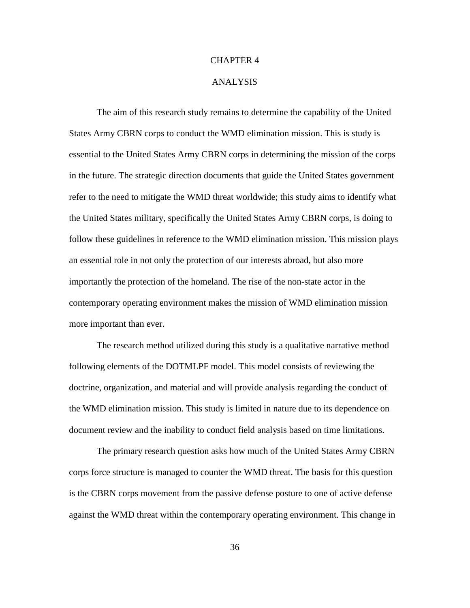## CHAPTER 4

## ANALYSIS

The aim of this research study remains to determine the capability of the United States Army CBRN corps to conduct the WMD elimination mission. This is study is essential to the United States Army CBRN corps in determining the mission of the corps in the future. The strategic direction documents that guide the United States government refer to the need to mitigate the WMD threat worldwide; this study aims to identify what the United States military, specifically the United States Army CBRN corps, is doing to follow these guidelines in reference to the WMD elimination mission. This mission plays an essential role in not only the protection of our interests abroad, but also more importantly the protection of the homeland. The rise of the non-state actor in the contemporary operating environment makes the mission of WMD elimination mission more important than ever.

The research method utilized during this study is a qualitative narrative method following elements of the DOTMLPF model. This model consists of reviewing the doctrine, organization, and material and will provide analysis regarding the conduct of the WMD elimination mission. This study is limited in nature due to its dependence on document review and the inability to conduct field analysis based on time limitations.

The primary research question asks how much of the United States Army CBRN corps force structure is managed to counter the WMD threat. The basis for this question is the CBRN corps movement from the passive defense posture to one of active defense against the WMD threat within the contemporary operating environment. This change in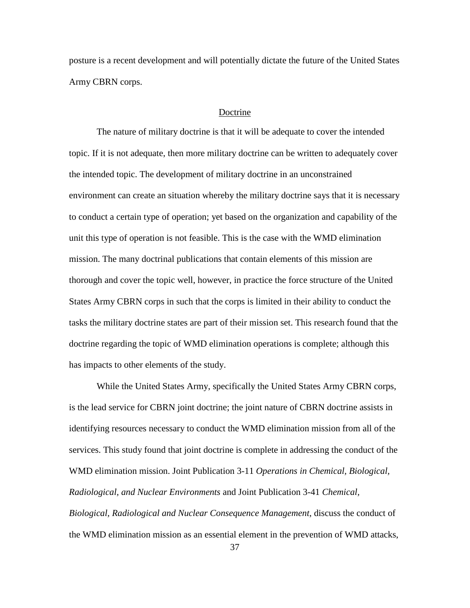posture is a recent development and will potentially dictate the future of the United States Army CBRN corps.

#### Doctrine

The nature of military doctrine is that it will be adequate to cover the intended topic. If it is not adequate, then more military doctrine can be written to adequately cover the intended topic. The development of military doctrine in an unconstrained environment can create an situation whereby the military doctrine says that it is necessary to conduct a certain type of operation; yet based on the organization and capability of the unit this type of operation is not feasible. This is the case with the WMD elimination mission. The many doctrinal publications that contain elements of this mission are thorough and cover the topic well, however, in practice the force structure of the United States Army CBRN corps in such that the corps is limited in their ability to conduct the tasks the military doctrine states are part of their mission set. This research found that the doctrine regarding the topic of WMD elimination operations is complete; although this has impacts to other elements of the study.

While the United States Army, specifically the United States Army CBRN corps, is the lead service for CBRN joint doctrine; the joint nature of CBRN doctrine assists in identifying resources necessary to conduct the WMD elimination mission from all of the services. This study found that joint doctrine is complete in addressing the conduct of the WMD elimination mission. Joint Publication 3-11 *Operations in Chemical, Biological, Radiological, and Nuclear Environments* and Joint Publication 3-41 *Chemical, Biological, Radiological and Nuclear Consequence Management*, discuss the conduct of the WMD elimination mission as an essential element in the prevention of WMD attacks,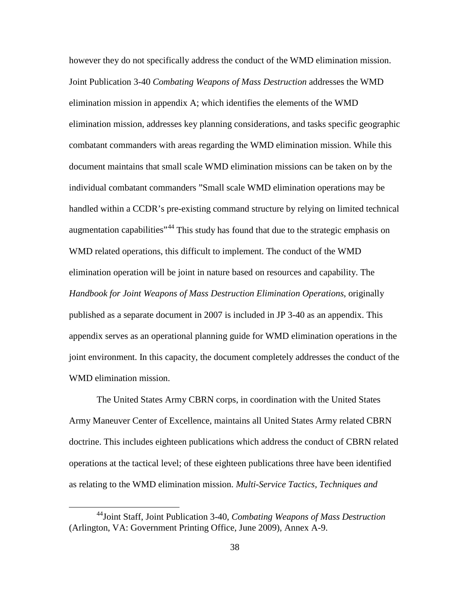however they do not specifically address the conduct of the WMD elimination mission. Joint Publication 3-40 *Combating Weapons of Mass Destruction* addresses the WMD elimination mission in appendix A; which identifies the elements of the WMD elimination mission, addresses key planning considerations, and tasks specific geographic combatant commanders with areas regarding the WMD elimination mission. While this document maintains that small scale WMD elimination missions can be taken on by the individual combatant commanders "Small scale WMD elimination operations may be handled within a CCDR's pre-existing command structure by relying on limited technical augmentation capabilities<sup>"[44](#page-47-0)</sup> This study has found that due to the strategic emphasis on WMD related operations, this difficult to implement. The conduct of the WMD elimination operation will be joint in nature based on resources and capability. The *Handbook for Joint Weapons of Mass Destruction Elimination Operations*, originally published as a separate document in 2007 is included in JP 3-40 as an appendix. This appendix serves as an operational planning guide for WMD elimination operations in the joint environment. In this capacity, the document completely addresses the conduct of the WMD elimination mission.

The United States Army CBRN corps, in coordination with the United States Army Maneuver Center of Excellence, maintains all United States Army related CBRN doctrine. This includes eighteen publications which address the conduct of CBRN related operations at the tactical level; of these eighteen publications three have been identified as relating to the WMD elimination mission. *Multi-Service Tactics, Techniques and* 

<span id="page-47-0"></span> <sup>44</sup>Joint Staff, Joint Publication 3-40, *Combating Weapons of Mass Destruction*  (Arlington, VA: Government Printing Office, June 2009), Annex A-9.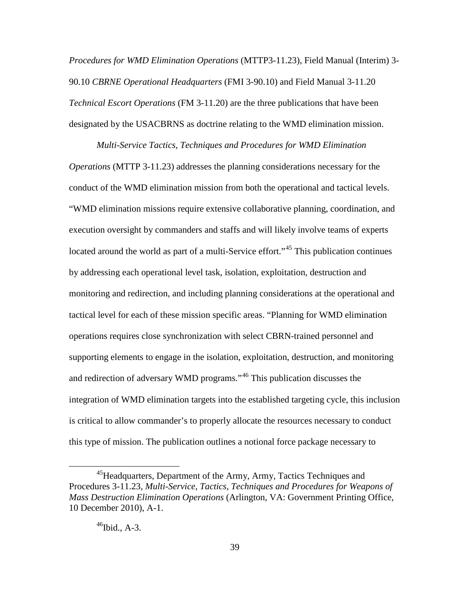*Procedures for WMD Elimination Operations* (MTTP3-11.23), Field Manual (Interim) 3- 90.10 *CBRNE Operational Headquarters* (FMI 3-90.10) and Field Manual 3-11.20 *Technical Escort Operations* (FM 3-11.20) are the three publications that have been designated by the USACBRNS as doctrine relating to the WMD elimination mission.

*Multi-Service Tactics, Techniques and Procedures for WMD Elimination Operations* (MTTP 3-11.23) addresses the planning considerations necessary for the conduct of the WMD elimination mission from both the operational and tactical levels. "WMD elimination missions require extensive collaborative planning, coordination, and execution oversight by commanders and staffs and will likely involve teams of experts located around the world as part of a multi-Service effort."<sup>[45](#page-48-0)</sup> This publication continues by addressing each operational level task, isolation, exploitation, destruction and monitoring and redirection, and including planning considerations at the operational and tactical level for each of these mission specific areas. "Planning for WMD elimination operations requires close synchronization with select CBRN-trained personnel and supporting elements to engage in the isolation, exploitation, destruction, and monitoring and redirection of adversary WMD programs."[46](#page-48-1) This publication discusses the integration of WMD elimination targets into the established targeting cycle, this inclusion is critical to allow commander's to properly allocate the resources necessary to conduct this type of mission. The publication outlines a notional force package necessary to

<span id="page-48-1"></span><span id="page-48-0"></span><sup>&</sup>lt;sup>45</sup>Headquarters, Department of the Army, Army, Tactics Techniques and Procedures 3-11.23, *Multi-Service, Tactics, Techniques and Procedures for Weapons of Mass Destruction Elimination Operations* (Arlington, VA: Government Printing Office, 10 December 2010), A-1.

 $^{46}$ Ibid., A-3.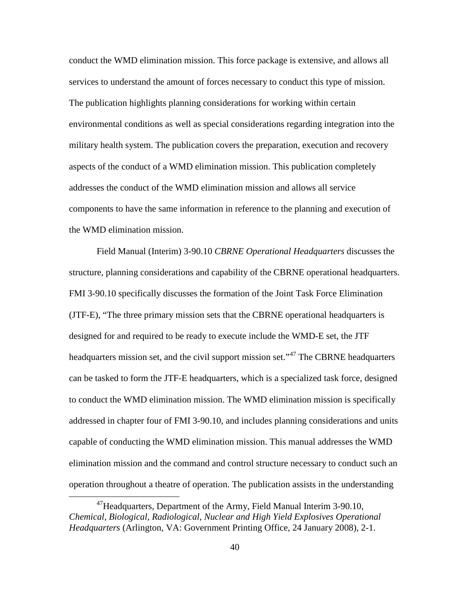conduct the WMD elimination mission. This force package is extensive, and allows all services to understand the amount of forces necessary to conduct this type of mission. The publication highlights planning considerations for working within certain environmental conditions as well as special considerations regarding integration into the military health system. The publication covers the preparation, execution and recovery aspects of the conduct of a WMD elimination mission. This publication completely addresses the conduct of the WMD elimination mission and allows all service components to have the same information in reference to the planning and execution of the WMD elimination mission.

Field Manual (Interim) 3-90.10 *CBRNE Operational Headquarters* discusses the structure, planning considerations and capability of the CBRNE operational headquarters. FMI 3-90.10 specifically discusses the formation of the Joint Task Force Elimination (JTF-E), "The three primary mission sets that the CBRNE operational headquarters is designed for and required to be ready to execute include the WMD-E set, the JTF headquarters mission set, and the civil support mission set."<sup>[47](#page-49-0)</sup> The CBRNE headquarters can be tasked to form the JTF-E headquarters, which is a specialized task force, designed to conduct the WMD elimination mission. The WMD elimination mission is specifically addressed in chapter four of FMI 3-90.10, and includes planning considerations and units capable of conducting the WMD elimination mission. This manual addresses the WMD elimination mission and the command and control structure necessary to conduct such an operation throughout a theatre of operation. The publication assists in the understanding

<span id="page-49-0"></span> $^{47}$ Headquarters, Department of the Army, Field Manual Interim 3-90.10, *Chemical, Biological, Radiological, Nuclear and High Yield Explosives Operational Headquarters* (Arlington, VA: Government Printing Office, 24 January 2008), 2-1.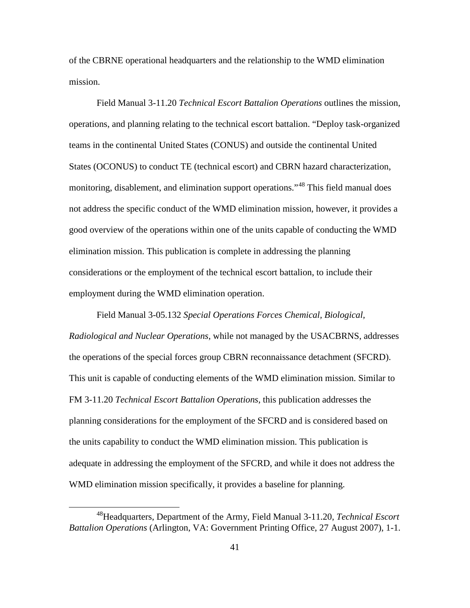of the CBRNE operational headquarters and the relationship to the WMD elimination mission.

Field Manual 3-11.20 *Technical Escort Battalion Operations* outlines the mission, operations, and planning relating to the technical escort battalion. "Deploy task-organized teams in the continental United States (CONUS) and outside the continental United States (OCONUS) to conduct TE (technical escort) and CBRN hazard characterization, monitoring, disablement, and elimination support operations."<sup>[48](#page-50-0)</sup> This field manual does not address the specific conduct of the WMD elimination mission, however, it provides a good overview of the operations within one of the units capable of conducting the WMD elimination mission. This publication is complete in addressing the planning considerations or the employment of the technical escort battalion, to include their employment during the WMD elimination operation.

Field Manual 3-05.132 *Special Operations Forces Chemical, Biological, Radiological and Nuclear Operations*, while not managed by the USACBRNS, addresses the operations of the special forces group CBRN reconnaissance detachment (SFCRD). This unit is capable of conducting elements of the WMD elimination mission. Similar to FM 3-11.20 *Technical Escort Battalion Operations*, this publication addresses the planning considerations for the employment of the SFCRD and is considered based on the units capability to conduct the WMD elimination mission. This publication is adequate in addressing the employment of the SFCRD, and while it does not address the WMD elimination mission specifically, it provides a baseline for planning.

<span id="page-50-0"></span> <sup>48</sup>Headquarters, Department of the Army, Field Manual 3-11.20, *Technical Escort Battalion Operations* (Arlington, VA: Government Printing Office, 27 August 2007), 1-1.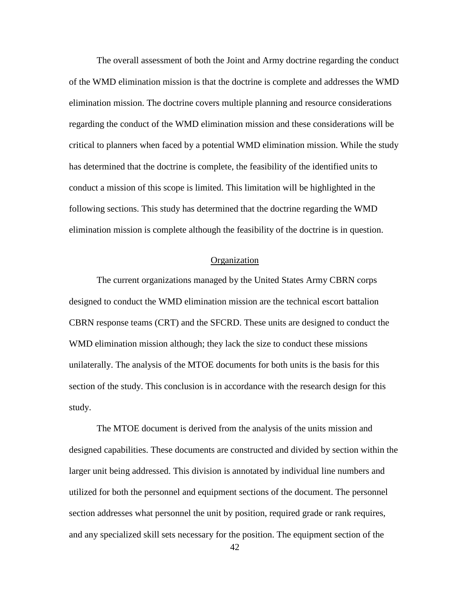The overall assessment of both the Joint and Army doctrine regarding the conduct of the WMD elimination mission is that the doctrine is complete and addresses the WMD elimination mission. The doctrine covers multiple planning and resource considerations regarding the conduct of the WMD elimination mission and these considerations will be critical to planners when faced by a potential WMD elimination mission. While the study has determined that the doctrine is complete, the feasibility of the identified units to conduct a mission of this scope is limited. This limitation will be highlighted in the following sections. This study has determined that the doctrine regarding the WMD elimination mission is complete although the feasibility of the doctrine is in question.

#### Organization

The current organizations managed by the United States Army CBRN corps designed to conduct the WMD elimination mission are the technical escort battalion CBRN response teams (CRT) and the SFCRD. These units are designed to conduct the WMD elimination mission although; they lack the size to conduct these missions unilaterally. The analysis of the MTOE documents for both units is the basis for this section of the study. This conclusion is in accordance with the research design for this study.

The MTOE document is derived from the analysis of the units mission and designed capabilities. These documents are constructed and divided by section within the larger unit being addressed. This division is annotated by individual line numbers and utilized for both the personnel and equipment sections of the document. The personnel section addresses what personnel the unit by position, required grade or rank requires, and any specialized skill sets necessary for the position. The equipment section of the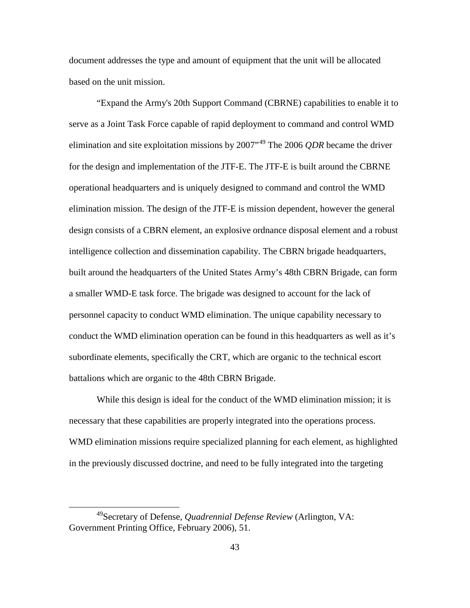document addresses the type and amount of equipment that the unit will be allocated based on the unit mission.

"Expand the Army's 20th Support Command (CBRNE) capabilities to enable it to serve as a Joint Task Force capable of rapid deployment to command and control WMD elimination and site exploitation missions by 2007"[49](#page-52-0) The 2006 *QDR* became the driver for the design and implementation of the JTF-E. The JTF-E is built around the CBRNE operational headquarters and is uniquely designed to command and control the WMD elimination mission. The design of the JTF-E is mission dependent, however the general design consists of a CBRN element, an explosive ordnance disposal element and a robust intelligence collection and dissemination capability. The CBRN brigade headquarters, built around the headquarters of the United States Army's 48th CBRN Brigade, can form a smaller WMD-E task force. The brigade was designed to account for the lack of personnel capacity to conduct WMD elimination. The unique capability necessary to conduct the WMD elimination operation can be found in this headquarters as well as it's subordinate elements, specifically the CRT, which are organic to the technical escort battalions which are organic to the 48th CBRN Brigade.

While this design is ideal for the conduct of the WMD elimination mission; it is necessary that these capabilities are properly integrated into the operations process. WMD elimination missions require specialized planning for each element, as highlighted in the previously discussed doctrine, and need to be fully integrated into the targeting

<span id="page-52-0"></span> <sup>49</sup>Secretary of Defense, *Quadrennial Defense Review* (Arlington, VA: Government Printing Office, February 2006), 51.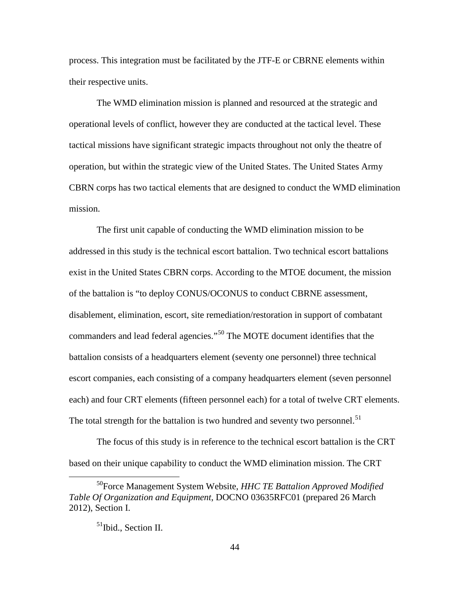process. This integration must be facilitated by the JTF-E or CBRNE elements within their respective units.

The WMD elimination mission is planned and resourced at the strategic and operational levels of conflict, however they are conducted at the tactical level. These tactical missions have significant strategic impacts throughout not only the theatre of operation, but within the strategic view of the United States. The United States Army CBRN corps has two tactical elements that are designed to conduct the WMD elimination mission.

The first unit capable of conducting the WMD elimination mission to be addressed in this study is the technical escort battalion. Two technical escort battalions exist in the United States CBRN corps. According to the MTOE document, the mission of the battalion is "to deploy CONUS/OCONUS to conduct CBRNE assessment, disablement, elimination, escort, site remediation/restoration in support of combatant commanders and lead federal agencies."[50](#page-53-0) The MOTE document identifies that the battalion consists of a headquarters element (seventy one personnel) three technical escort companies, each consisting of a company headquarters element (seven personnel each) and four CRT elements (fifteen personnel each) for a total of twelve CRT elements. The total strength for the battalion is two hundred and seventy two personnel.<sup>[51](#page-53-1)</sup>

The focus of this study is in reference to the technical escort battalion is the CRT based on their unique capability to conduct the WMD elimination mission. The CRT

<span id="page-53-1"></span><span id="page-53-0"></span> <sup>50</sup>Force Management System Website, *HHC TE Battalion Approved Modified Table Of Organization and Equipment*, DOCNO 03635RFC01 (prepared 26 March 2012), Section I.

<sup>&</sup>lt;sup>51</sup>Ibid., Section II.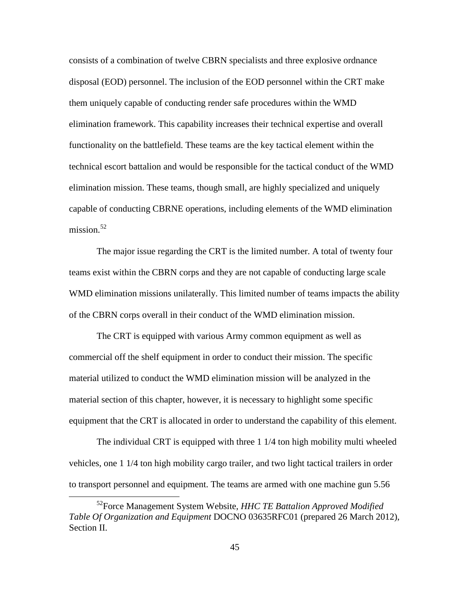consists of a combination of twelve CBRN specialists and three explosive ordnance disposal (EOD) personnel. The inclusion of the EOD personnel within the CRT make them uniquely capable of conducting render safe procedures within the WMD elimination framework. This capability increases their technical expertise and overall functionality on the battlefield. These teams are the key tactical element within the technical escort battalion and would be responsible for the tactical conduct of the WMD elimination mission. These teams, though small, are highly specialized and uniquely capable of conducting CBRNE operations, including elements of the WMD elimination mission. $52$ 

The major issue regarding the CRT is the limited number. A total of twenty four teams exist within the CBRN corps and they are not capable of conducting large scale WMD elimination missions unilaterally. This limited number of teams impacts the ability of the CBRN corps overall in their conduct of the WMD elimination mission.

The CRT is equipped with various Army common equipment as well as commercial off the shelf equipment in order to conduct their mission. The specific material utilized to conduct the WMD elimination mission will be analyzed in the material section of this chapter, however, it is necessary to highlight some specific equipment that the CRT is allocated in order to understand the capability of this element.

The individual CRT is equipped with three 1 1/4 ton high mobility multi wheeled vehicles, one 1 1/4 ton high mobility cargo trailer, and two light tactical trailers in order to transport personnel and equipment. The teams are armed with one machine gun 5.56

<span id="page-54-0"></span> <sup>52</sup>Force Management System Website, *HHC TE Battalion Approved Modified Table Of Organization and Equipment* DOCNO 03635RFC01 (prepared 26 March 2012), Section II.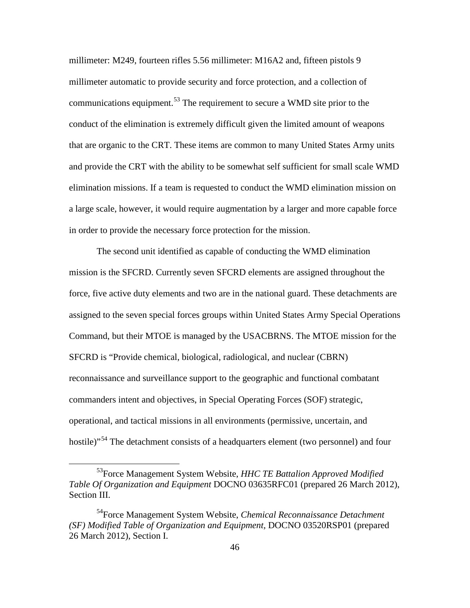millimeter: M249, fourteen rifles 5.56 millimeter: M16A2 and, fifteen pistols 9 millimeter automatic to provide security and force protection, and a collection of communications equipment.<sup>[53](#page-55-0)</sup> The requirement to secure a WMD site prior to the conduct of the elimination is extremely difficult given the limited amount of weapons that are organic to the CRT. These items are common to many United States Army units and provide the CRT with the ability to be somewhat self sufficient for small scale WMD elimination missions. If a team is requested to conduct the WMD elimination mission on a large scale, however, it would require augmentation by a larger and more capable force in order to provide the necessary force protection for the mission.

The second unit identified as capable of conducting the WMD elimination mission is the SFCRD. Currently seven SFCRD elements are assigned throughout the force, five active duty elements and two are in the national guard. These detachments are assigned to the seven special forces groups within United States Army Special Operations Command, but their MTOE is managed by the USACBRNS. The MTOE mission for the SFCRD is "Provide chemical, biological, radiological, and nuclear (CBRN) reconnaissance and surveillance support to the geographic and functional combatant commanders intent and objectives, in Special Operating Forces (SOF) strategic, operational, and tactical missions in all environments (permissive, uncertain, and hostile)<sup>"[54](#page-55-1)</sup> The detachment consists of a headquarters element (two personnel) and four

<span id="page-55-0"></span> <sup>53</sup>Force Management System Website, *HHC TE Battalion Approved Modified Table Of Organization and Equipment* DOCNO 03635RFC01 (prepared 26 March 2012), Section III.

<span id="page-55-1"></span><sup>54</sup>Force Management System Website, *Chemical Reconnaissance Detachment (SF) Modified Table of Organization and Equipment,* DOCNO 03520RSP01 (prepared 26 March 2012), Section I.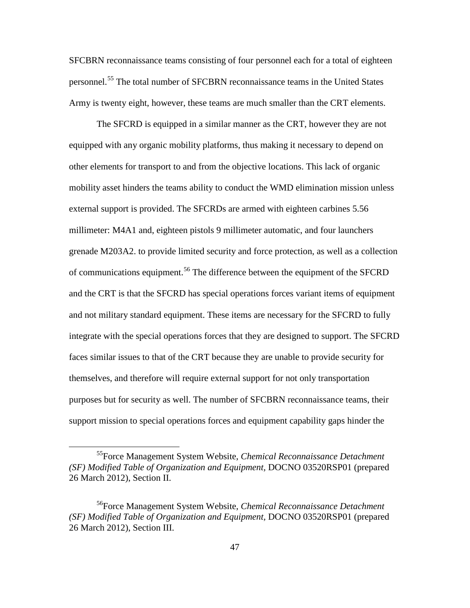SFCBRN reconnaissance teams consisting of four personnel each for a total of eighteen personnel.[55](#page-56-0) The total number of SFCBRN reconnaissance teams in the United States Army is twenty eight, however, these teams are much smaller than the CRT elements.

The SFCRD is equipped in a similar manner as the CRT, however they are not equipped with any organic mobility platforms, thus making it necessary to depend on other elements for transport to and from the objective locations. This lack of organic mobility asset hinders the teams ability to conduct the WMD elimination mission unless external support is provided. The SFCRDs are armed with eighteen carbines 5.56 millimeter: M4A1 and, eighteen pistols 9 millimeter automatic, and four launchers grenade M203A2. to provide limited security and force protection, as well as a collection of communications equipment.<sup>[56](#page-56-1)</sup> The difference between the equipment of the SFCRD and the CRT is that the SFCRD has special operations forces variant items of equipment and not military standard equipment. These items are necessary for the SFCRD to fully integrate with the special operations forces that they are designed to support. The SFCRD faces similar issues to that of the CRT because they are unable to provide security for themselves, and therefore will require external support for not only transportation purposes but for security as well. The number of SFCBRN reconnaissance teams, their support mission to special operations forces and equipment capability gaps hinder the

<span id="page-56-0"></span> <sup>55</sup>Force Management System Website, *Chemical Reconnaissance Detachment (SF) Modified Table of Organization and Equipment,* DOCNO 03520RSP01 (prepared 26 March 2012), Section II.

<span id="page-56-1"></span><sup>56</sup>Force Management System Website, *Chemical Reconnaissance Detachment (SF) Modified Table of Organization and Equipment,* DOCNO 03520RSP01 (prepared 26 March 2012), Section III.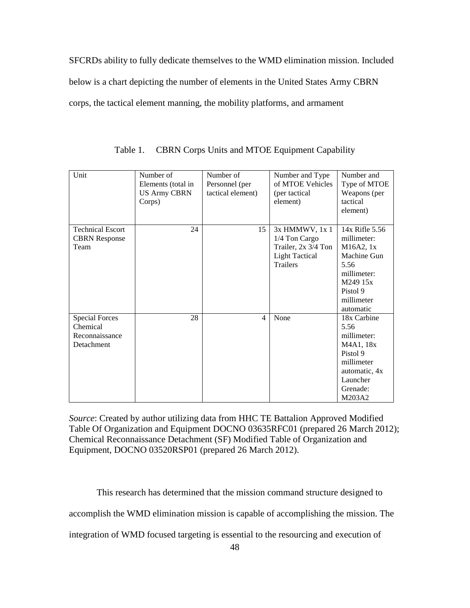SFCRDs ability to fully dedicate themselves to the WMD elimination mission. Included below is a chart depicting the number of elements in the United States Army CBRN corps, the tactical element manning, the mobility platforms, and armament

| Unit                                                              | Number of<br>Elements (total in<br><b>US Army CBRN</b><br>Corps) | Number of<br>Personnel (per<br>tactical element) | Number and Type<br>of MTOE Vehicles<br>(per tactical)<br>element)                                  | Number and<br>Type of MTOE<br>Weapons (per<br>tactical<br>element)                                                                  |
|-------------------------------------------------------------------|------------------------------------------------------------------|--------------------------------------------------|----------------------------------------------------------------------------------------------------|-------------------------------------------------------------------------------------------------------------------------------------|
| <b>Technical Escort</b><br><b>CBRN</b> Response<br>Team           | 24                                                               | 15                                               | 3x HMMWV, 1x 1<br>1/4 Ton Cargo<br>Trailer, 2x 3/4 Ton<br><b>Light Tactical</b><br><b>Trailers</b> | 14x Rifle 5.56<br>millimeter:<br>M16A2, 1x<br>Machine Gun<br>5.56<br>millimeter:<br>M249 15x<br>Pistol 9<br>millimeter<br>automatic |
| <b>Special Forces</b><br>Chemical<br>Reconnaissance<br>Detachment | 28                                                               | $\overline{4}$                                   | None                                                                                               | 18x Carbine<br>5.56<br>millimeter:<br>M4A1, 18x<br>Pistol 9<br>millimeter<br>automatic, 4x<br>Launcher<br>Grenade:<br>M203A2        |

Table 1. CBRN Corps Units and MTOE Equipment Capability

*Source*: Created by author utilizing data from HHC TE Battalion Approved Modified Table Of Organization and Equipment DOCNO 03635RFC01 (prepared 26 March 2012); Chemical Reconnaissance Detachment (SF) Modified Table of Organization and Equipment, DOCNO 03520RSP01 (prepared 26 March 2012).

This research has determined that the mission command structure designed to accomplish the WMD elimination mission is capable of accomplishing the mission. The

integration of WMD focused targeting is essential to the resourcing and execution of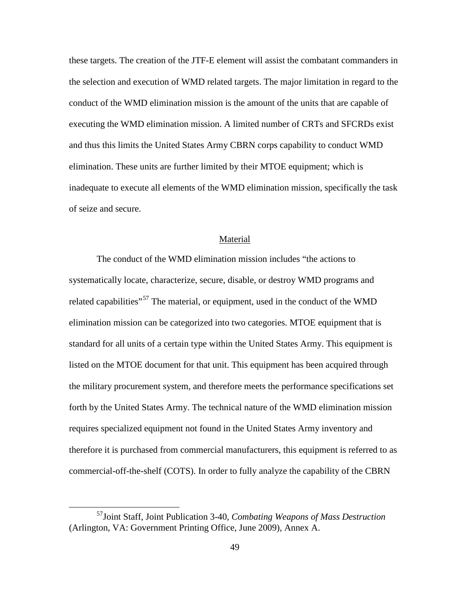these targets. The creation of the JTF-E element will assist the combatant commanders in the selection and execution of WMD related targets. The major limitation in regard to the conduct of the WMD elimination mission is the amount of the units that are capable of executing the WMD elimination mission. A limited number of CRTs and SFCRDs exist and thus this limits the United States Army CBRN corps capability to conduct WMD elimination. These units are further limited by their MTOE equipment; which is inadequate to execute all elements of the WMD elimination mission, specifically the task of seize and secure.

#### Material

The conduct of the WMD elimination mission includes "the actions to systematically locate, characterize, secure, disable, or destroy WMD programs and related capabilities"<sup>[57](#page-58-0)</sup> The material, or equipment, used in the conduct of the WMD elimination mission can be categorized into two categories. MTOE equipment that is standard for all units of a certain type within the United States Army. This equipment is listed on the MTOE document for that unit. This equipment has been acquired through the military procurement system, and therefore meets the performance specifications set forth by the United States Army. The technical nature of the WMD elimination mission requires specialized equipment not found in the United States Army inventory and therefore it is purchased from commercial manufacturers, this equipment is referred to as commercial-off-the-shelf (COTS). In order to fully analyze the capability of the CBRN

<span id="page-58-0"></span> <sup>57</sup>Joint Staff, Joint Publication 3-40, *Combating Weapons of Mass Destruction*  (Arlington, VA: Government Printing Office, June 2009), Annex A.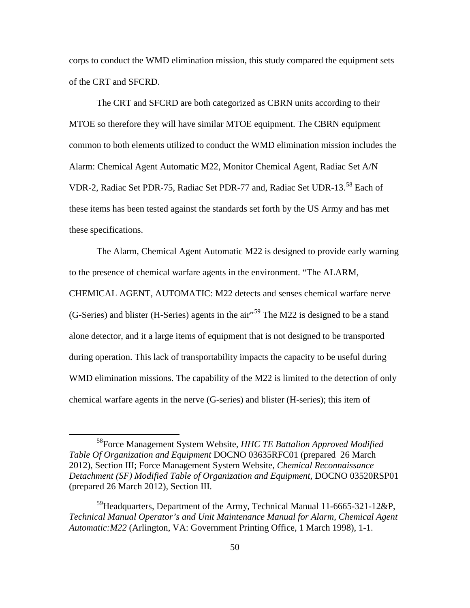corps to conduct the WMD elimination mission, this study compared the equipment sets of the CRT and SFCRD.

The CRT and SFCRD are both categorized as CBRN units according to their MTOE so therefore they will have similar MTOE equipment. The CBRN equipment common to both elements utilized to conduct the WMD elimination mission includes the Alarm: Chemical Agent Automatic M22, Monitor Chemical Agent, Radiac Set A/N VDR-2, Radiac Set PDR-75, Radiac Set PDR-77 and, Radiac Set UDR-13.[58](#page-59-0) Each of these items has been tested against the standards set forth by the US Army and has met these specifications.

The Alarm, Chemical Agent Automatic M22 is designed to provide early warning to the presence of chemical warfare agents in the environment. "The ALARM, CHEMICAL AGENT, AUTOMATIC: M22 detects and senses chemical warfare nerve  $(G-Series)$  and blister  $(H-Series)$  agents in the air"<sup>[59](#page-59-1)</sup> The M22 is designed to be a stand alone detector, and it a large items of equipment that is not designed to be transported during operation. This lack of transportability impacts the capacity to be useful during WMD elimination missions. The capability of the M22 is limited to the detection of only chemical warfare agents in the nerve (G-series) and blister (H-series); this item of

<span id="page-59-0"></span> <sup>58</sup>Force Management System Website, *HHC TE Battalion Approved Modified Table Of Organization and Equipment* DOCNO 03635RFC01 (prepared 26 March 2012), Section III; Force Management System Website, *Chemical Reconnaissance Detachment (SF) Modified Table of Organization and Equipment*, DOCNO 03520RSP01 (prepared 26 March 2012), Section III.

<span id="page-59-1"></span><sup>&</sup>lt;sup>59</sup>Headquarters, Department of the Army, Technical Manual 11-6665-321-12&P, *Technical Manual Operator's and Unit Maintenance Manual for Alarm, Chemical Agent Automatic:M22* (Arlington, VA: Government Printing Office, 1 March 1998), 1-1.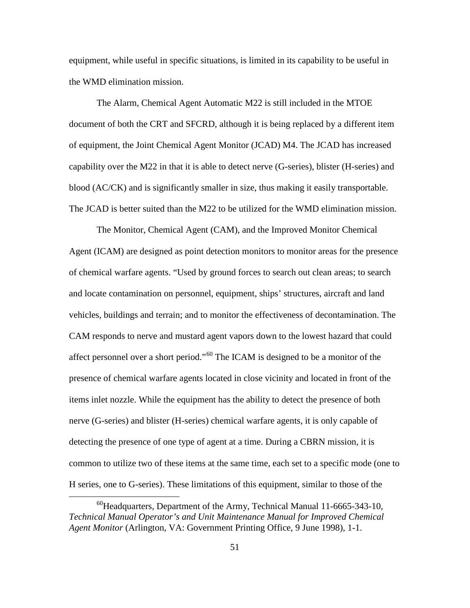equipment, while useful in specific situations, is limited in its capability to be useful in the WMD elimination mission.

The Alarm, Chemical Agent Automatic M22 is still included in the MTOE document of both the CRT and SFCRD, although it is being replaced by a different item of equipment, the Joint Chemical Agent Monitor (JCAD) M4. The JCAD has increased capability over the M22 in that it is able to detect nerve (G-series), blister (H-series) and blood (AC/CK) and is significantly smaller in size, thus making it easily transportable. The JCAD is better suited than the M22 to be utilized for the WMD elimination mission.

The Monitor, Chemical Agent (CAM), and the Improved Monitor Chemical Agent (ICAM) are designed as point detection monitors to monitor areas for the presence of chemical warfare agents. "Used by ground forces to search out clean areas; to search and locate contamination on personnel, equipment, ships' structures, aircraft and land vehicles, buildings and terrain; and to monitor the effectiveness of decontamination. The CAM responds to nerve and mustard agent vapors down to the lowest hazard that could affect personnel over a short period."[60](#page-60-0) The ICAM is designed to be a monitor of the presence of chemical warfare agents located in close vicinity and located in front of the items inlet nozzle. While the equipment has the ability to detect the presence of both nerve (G-series) and blister (H-series) chemical warfare agents, it is only capable of detecting the presence of one type of agent at a time. During a CBRN mission, it is common to utilize two of these items at the same time, each set to a specific mode (one to H series, one to G-series). These limitations of this equipment, similar to those of the

<span id="page-60-0"></span> $^{60}$ Headquarters, Department of the Army, Technical Manual 11-6665-343-10, *Technical Manual Operator's and Unit Maintenance Manual for Improved Chemical Agent Monitor* (Arlington, VA: Government Printing Office, 9 June 1998), 1-1.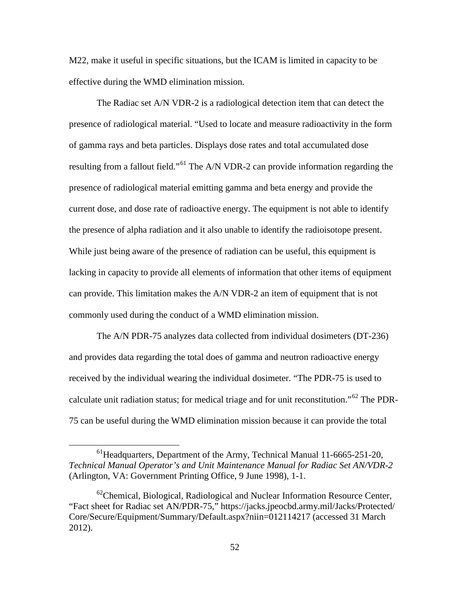M22, make it useful in specific situations, but the ICAM is limited in capacity to be effective during the WMD elimination mission.

The Radiac set A/N VDR-2 is a radiological detection item that can detect the presence of radiological material. "Used to locate and measure radioactivity in the form of gamma rays and beta particles. Displays dose rates and total accumulated dose resulting from a fallout field."[61](#page-61-0) The A/N VDR-2 can provide information regarding the presence of radiological material emitting gamma and beta energy and provide the current dose, and dose rate of radioactive energy. The equipment is not able to identify the presence of alpha radiation and it also unable to identify the radioisotope present. While just being aware of the presence of radiation can be useful, this equipment is lacking in capacity to provide all elements of information that other items of equipment can provide. This limitation makes the A/N VDR-2 an item of equipment that is not commonly used during the conduct of a WMD elimination mission.

The A/N PDR-75 analyzes data collected from individual dosimeters (DT-236) and provides data regarding the total does of gamma and neutron radioactive energy received by the individual wearing the individual dosimeter. "The PDR-75 is used to calculate unit radiation status; for medical triage and for unit reconstitution."[62](#page-61-1) The PDR-75 can be useful during the WMD elimination mission because it can provide the total

<span id="page-61-0"></span> $<sup>61</sup>$  Headquarters, Department of the Army, Technical Manual 11-6665-251-20,</sup> *Technical Manual Operator's and Unit Maintenance Manual for Radiac Set AN/VDR-2*  (Arlington, VA: Government Printing Office, 9 June 1998), 1-1.

<span id="page-61-1"></span> $^{62}$ Chemical, Biological, Radiological and Nuclear Information Resource Center, "Fact sheet for Radiac set AN/PDR-75," https://jacks.jpeocbd.army.mil/Jacks/Protected/ Core/Secure/Equipment/Summary/Default.aspx?niin=012114217 (accessed 31 March 2012).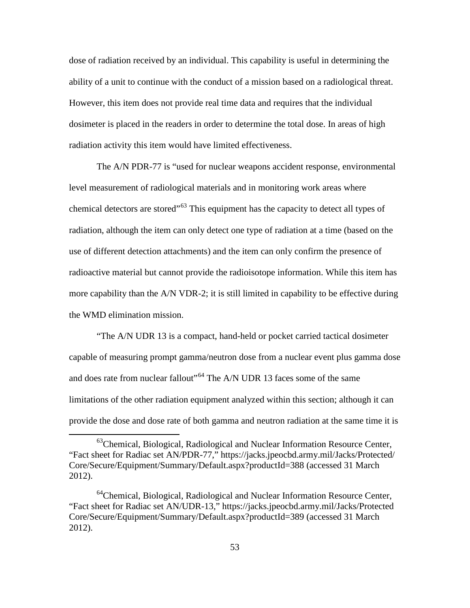dose of radiation received by an individual. This capability is useful in determining the ability of a unit to continue with the conduct of a mission based on a radiological threat. However, this item does not provide real time data and requires that the individual dosimeter is placed in the readers in order to determine the total dose. In areas of high radiation activity this item would have limited effectiveness.

The A/N PDR-77 is "used for nuclear weapons accident response, environmental level measurement of radiological materials and in monitoring work areas where chemical detectors are stored<sup>"[63](#page-62-0)</sup> This equipment has the capacity to detect all types of radiation, although the item can only detect one type of radiation at a time (based on the use of different detection attachments) and the item can only confirm the presence of radioactive material but cannot provide the radioisotope information. While this item has more capability than the A/N VDR-2; it is still limited in capability to be effective during the WMD elimination mission.

"The A/N UDR 13 is a compact, hand-held or pocket carried tactical dosimeter capable of measuring prompt gamma/neutron dose from a nuclear event plus gamma dose and does rate from nuclear fallout"<sup>[64](#page-62-1)</sup> The A/N UDR 13 faces some of the same limitations of the other radiation equipment analyzed within this section; although it can provide the dose and dose rate of both gamma and neutron radiation at the same time it is

<span id="page-62-0"></span><sup>&</sup>lt;sup>63</sup>Chemical, Biological, Radiological and Nuclear Information Resource Center, "Fact sheet for Radiac set AN/PDR-77," https://jacks.jpeocbd.army.mil/Jacks/Protected/ Core/Secure/Equipment/Summary/Default.aspx?productId=388 (accessed 31 March 2012).

<span id="page-62-1"></span> $64$ Chemical, Biological, Radiological and Nuclear Information Resource Center, "Fact sheet for Radiac set AN/UDR-13," https://jacks.jpeocbd.army.mil/Jacks/Protected Core/Secure/Equipment/Summary/Default.aspx?productId=389 (accessed 31 March 2012).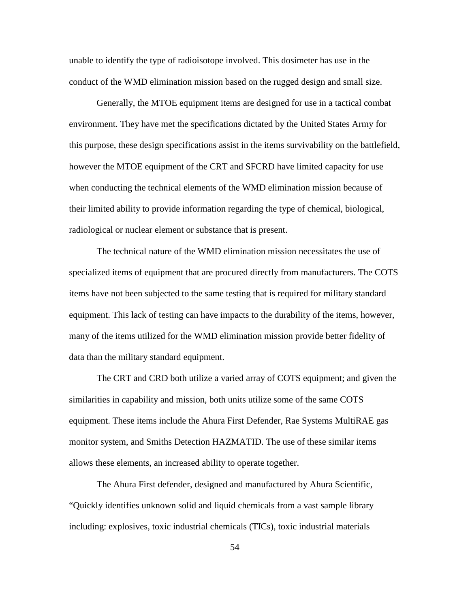unable to identify the type of radioisotope involved. This dosimeter has use in the conduct of the WMD elimination mission based on the rugged design and small size.

Generally, the MTOE equipment items are designed for use in a tactical combat environment. They have met the specifications dictated by the United States Army for this purpose, these design specifications assist in the items survivability on the battlefield, however the MTOE equipment of the CRT and SFCRD have limited capacity for use when conducting the technical elements of the WMD elimination mission because of their limited ability to provide information regarding the type of chemical, biological, radiological or nuclear element or substance that is present.

The technical nature of the WMD elimination mission necessitates the use of specialized items of equipment that are procured directly from manufacturers. The COTS items have not been subjected to the same testing that is required for military standard equipment. This lack of testing can have impacts to the durability of the items, however, many of the items utilized for the WMD elimination mission provide better fidelity of data than the military standard equipment.

The CRT and CRD both utilize a varied array of COTS equipment; and given the similarities in capability and mission, both units utilize some of the same COTS equipment. These items include the Ahura First Defender, Rae Systems MultiRAE gas monitor system, and Smiths Detection HAZMATID. The use of these similar items allows these elements, an increased ability to operate together.

The Ahura First defender, designed and manufactured by Ahura Scientific, "Quickly identifies unknown solid and liquid chemicals from a vast sample library including: explosives, toxic industrial chemicals (TICs), toxic industrial materials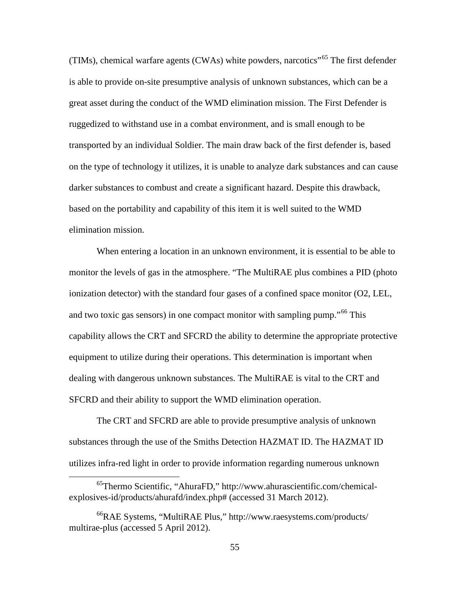(TIMs), chemical warfare agents (CWAs) white powders, narcotics<sup> $165$  $165$ </sup> The first defender is able to provide on-site presumptive analysis of unknown substances, which can be a great asset during the conduct of the WMD elimination mission. The First Defender is ruggedized to withstand use in a combat environment, and is small enough to be transported by an individual Soldier. The main draw back of the first defender is, based on the type of technology it utilizes, it is unable to analyze dark substances and can cause darker substances to combust and create a significant hazard. Despite this drawback, based on the portability and capability of this item it is well suited to the WMD elimination mission.

When entering a location in an unknown environment, it is essential to be able to monitor the levels of gas in the atmosphere. "The MultiRAE plus combines a PID (photo ionization detector) with the standard four gases of a confined space monitor (O2, LEL, and two toxic gas sensors) in one compact monitor with sampling pump.<sup>"[66](#page-64-1)</sup> This capability allows the CRT and SFCRD the ability to determine the appropriate protective equipment to utilize during their operations. This determination is important when dealing with dangerous unknown substances. The MultiRAE is vital to the CRT and SFCRD and their ability to support the WMD elimination operation.

The CRT and SFCRD are able to provide presumptive analysis of unknown substances through the use of the Smiths Detection HAZMAT ID. The HAZMAT ID utilizes infra-red light in order to provide information regarding numerous unknown

<span id="page-64-0"></span> <sup>65</sup>Thermo Scientific, "AhuraFD," http://www.ahurascientific.com/chemicalexplosives-id/products/ahurafd/index.php# (accessed 31 March 2012).

<span id="page-64-1"></span><sup>66</sup>RAE Systems, "MultiRAE Plus," http://www.raesystems.com/products/ multirae-plus (accessed 5 April 2012).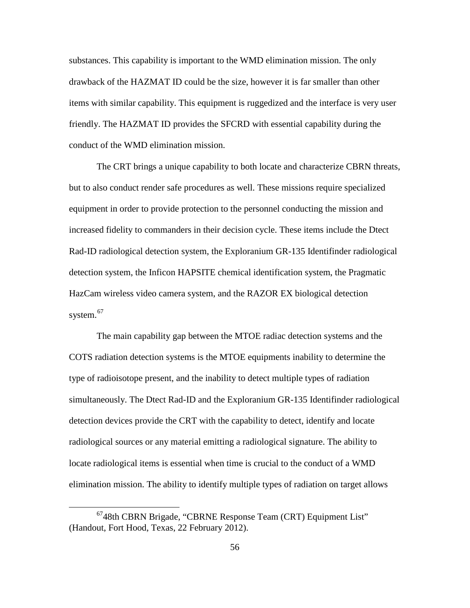substances. This capability is important to the WMD elimination mission. The only drawback of the HAZMAT ID could be the size, however it is far smaller than other items with similar capability. This equipment is ruggedized and the interface is very user friendly. The HAZMAT ID provides the SFCRD with essential capability during the conduct of the WMD elimination mission.

The CRT brings a unique capability to both locate and characterize CBRN threats, but to also conduct render safe procedures as well. These missions require specialized equipment in order to provide protection to the personnel conducting the mission and increased fidelity to commanders in their decision cycle. These items include the Dtect Rad-ID radiological detection system, the Exploranium GR-135 Identifinder radiological detection system, the Inficon HAPSITE chemical identification system, the Pragmatic HazCam wireless video camera system, and the RAZOR EX biological detection system. $67$ 

The main capability gap between the MTOE radiac detection systems and the COTS radiation detection systems is the MTOE equipments inability to determine the type of radioisotope present, and the inability to detect multiple types of radiation simultaneously. The Dtect Rad-ID and the Exploranium GR-135 Identifinder radiological detection devices provide the CRT with the capability to detect, identify and locate radiological sources or any material emitting a radiological signature. The ability to locate radiological items is essential when time is crucial to the conduct of a WMD elimination mission. The ability to identify multiple types of radiation on target allows

<span id="page-65-0"></span> <sup>6748</sup>th CBRN Brigade, "CBRNE Response Team (CRT) Equipment List" (Handout, Fort Hood, Texas, 22 February 2012).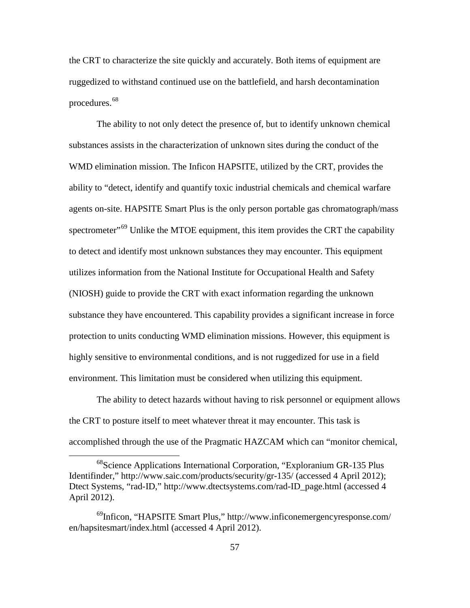the CRT to characterize the site quickly and accurately. Both items of equipment are ruggedized to withstand continued use on the battlefield, and harsh decontamination procedures.<sup>[68](#page-66-0)</sup>

The ability to not only detect the presence of, but to identify unknown chemical substances assists in the characterization of unknown sites during the conduct of the WMD elimination mission. The Inficon HAPSITE, utilized by the CRT, provides the ability to "detect, identify and quantify toxic industrial chemicals and chemical warfare agents on-site. HAPSITE Smart Plus is the only person portable gas chromatograph/mass spectrometer"<sup>[69](#page-66-1)</sup> Unlike the MTOE equipment, this item provides the CRT the capability to detect and identify most unknown substances they may encounter. This equipment utilizes information from the National Institute for Occupational Health and Safety (NIOSH) guide to provide the CRT with exact information regarding the unknown substance they have encountered. This capability provides a significant increase in force protection to units conducting WMD elimination missions. However, this equipment is highly sensitive to environmental conditions, and is not ruggedized for use in a field environment. This limitation must be considered when utilizing this equipment.

The ability to detect hazards without having to risk personnel or equipment allows the CRT to posture itself to meet whatever threat it may encounter. This task is accomplished through the use of the Pragmatic HAZCAM which can "monitor chemical,

<span id="page-66-0"></span><sup>&</sup>lt;sup>68</sup>Science Applications International Corporation, "Exploranium GR-135 Plus Identifinder," http://www.saic.com/products/security/gr-135/ (accessed 4 April 2012); Dtect Systems, "rad-ID," http://www.dtectsystems.com/rad-ID\_page.html (accessed 4 April 2012).

<span id="page-66-1"></span> $^{69}$ Inficon, "HAPSITE Smart Plus," http://www.inficonemergencyresponse.com/ en/hapsitesmart/index.html (accessed 4 April 2012).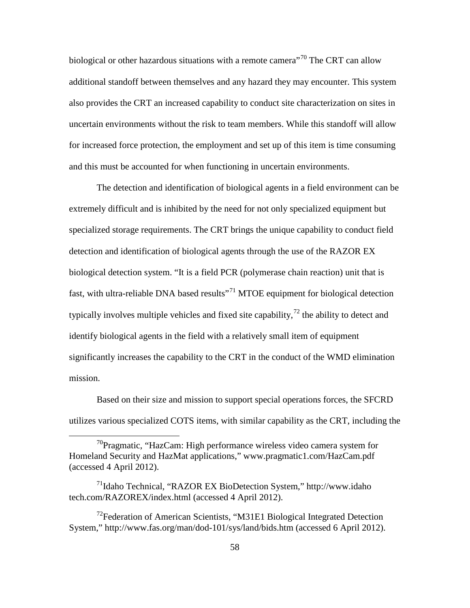biological or other hazardous situations with a remote camera<sup>"[70](#page-67-0)</sup> The CRT can allow additional standoff between themselves and any hazard they may encounter. This system also provides the CRT an increased capability to conduct site characterization on sites in uncertain environments without the risk to team members. While this standoff will allow for increased force protection, the employment and set up of this item is time consuming and this must be accounted for when functioning in uncertain environments.

The detection and identification of biological agents in a field environment can be extremely difficult and is inhibited by the need for not only specialized equipment but specialized storage requirements. The CRT brings the unique capability to conduct field detection and identification of biological agents through the use of the RAZOR EX biological detection system. "It is a field PCR (polymerase chain reaction) unit that is fast, with ultra-reliable DNA based results"<sup>[71](#page-67-1)</sup> MTOE equipment for biological detection typically involves multiple vehicles and fixed site capability,<sup> $72$ </sup> the ability to detect and identify biological agents in the field with a relatively small item of equipment significantly increases the capability to the CRT in the conduct of the WMD elimination mission.

Based on their size and mission to support special operations forces, the SFCRD utilizes various specialized COTS items, with similar capability as the CRT, including the

<span id="page-67-0"></span> $70$ Pragmatic, "HazCam: High performance wireless video camera system for Homeland Security and HazMat applications," www.pragmatic1.com/HazCam.pdf (accessed 4 April 2012).

<span id="page-67-1"></span> $^{71}$ Idaho Technical, "RAZOR EX BioDetection System," http://www.idaho tech.com/RAZOREX/index.html (accessed 4 April 2012).

<span id="page-67-2"></span> $72$ Federation of American Scientists, "M31E1 Biological Integrated Detection System," http://www.fas.org/man/dod-101/sys/land/bids.htm (accessed 6 April 2012).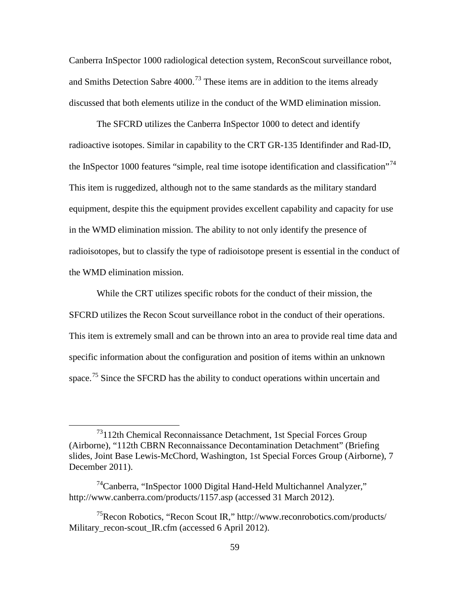Canberra InSpector 1000 radiological detection system, ReconScout surveillance robot, and Smiths Detection Sabre  $4000$ .<sup>[73](#page-68-0)</sup> These items are in addition to the items already discussed that both elements utilize in the conduct of the WMD elimination mission.

The SFCRD utilizes the Canberra InSpector 1000 to detect and identify radioactive isotopes. Similar in capability to the CRT GR-135 Identifinder and Rad-ID, the InSpector 1000 features "simple, real time isotope identification and classification"<sup>[74](#page-68-1)</sup> This item is ruggedized, although not to the same standards as the military standard equipment, despite this the equipment provides excellent capability and capacity for use in the WMD elimination mission. The ability to not only identify the presence of radioisotopes, but to classify the type of radioisotope present is essential in the conduct of the WMD elimination mission.

While the CRT utilizes specific robots for the conduct of their mission, the SFCRD utilizes the Recon Scout surveillance robot in the conduct of their operations. This item is extremely small and can be thrown into an area to provide real time data and specific information about the configuration and position of items within an unknown space.<sup>[75](#page-68-2)</sup> Since the SFCRD has the ability to conduct operations within uncertain and

<span id="page-68-0"></span> <sup>73112</sup>th Chemical Reconnaissance Detachment, 1st Special Forces Group (Airborne), "112th CBRN Reconnaissance Decontamination Detachment" (Briefing slides, Joint Base Lewis-McChord, Washington, 1st Special Forces Group (Airborne), 7 December 2011).

<span id="page-68-1"></span> $74$ Canberra, "InSpector 1000 Digital Hand-Held Multichannel Analyzer," http://www.canberra.com/products/1157.asp (accessed 31 March 2012).

<span id="page-68-2"></span><sup>75</sup>Recon Robotics, "Recon Scout IR," http://www.reconrobotics.com/products/ Military\_recon-scout\_IR.cfm (accessed 6 April 2012).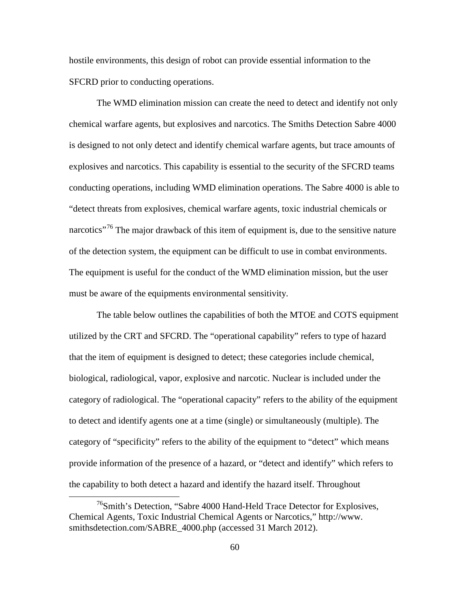hostile environments, this design of robot can provide essential information to the SFCRD prior to conducting operations.

The WMD elimination mission can create the need to detect and identify not only chemical warfare agents, but explosives and narcotics. The Smiths Detection Sabre 4000 is designed to not only detect and identify chemical warfare agents, but trace amounts of explosives and narcotics. This capability is essential to the security of the SFCRD teams conducting operations, including WMD elimination operations. The Sabre 4000 is able to "detect threats from explosives, chemical warfare agents, toxic industrial chemicals or narcotics<sup> $376$  $376$ </sup> The major drawback of this item of equipment is, due to the sensitive nature of the detection system, the equipment can be difficult to use in combat environments. The equipment is useful for the conduct of the WMD elimination mission, but the user must be aware of the equipments environmental sensitivity.

The table below outlines the capabilities of both the MTOE and COTS equipment utilized by the CRT and SFCRD. The "operational capability" refers to type of hazard that the item of equipment is designed to detect; these categories include chemical, biological, radiological, vapor, explosive and narcotic. Nuclear is included under the category of radiological. The "operational capacity" refers to the ability of the equipment to detect and identify agents one at a time (single) or simultaneously (multiple). The category of "specificity" refers to the ability of the equipment to "detect" which means provide information of the presence of a hazard, or "detect and identify" which refers to the capability to both detect a hazard and identify the hazard itself. Throughout

<span id="page-69-0"></span><sup>&</sup>lt;sup>76</sup>Smith's Detection, "Sabre 4000 Hand-Held Trace Detector for Explosives, Chemical Agents, Toxic Industrial Chemical Agents or Narcotics," http://www. smithsdetection.com/SABRE\_4000.php (accessed 31 March 2012).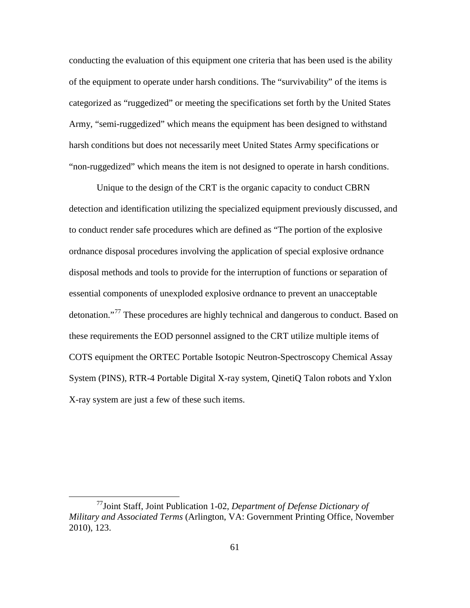conducting the evaluation of this equipment one criteria that has been used is the ability of the equipment to operate under harsh conditions. The "survivability" of the items is categorized as "ruggedized" or meeting the specifications set forth by the United States Army, "semi-ruggedized" which means the equipment has been designed to withstand harsh conditions but does not necessarily meet United States Army specifications or "non-ruggedized" which means the item is not designed to operate in harsh conditions.

Unique to the design of the CRT is the organic capacity to conduct CBRN detection and identification utilizing the specialized equipment previously discussed, and to conduct render safe procedures which are defined as "The portion of the explosive ordnance disposal procedures involving the application of special explosive ordnance disposal methods and tools to provide for the interruption of functions or separation of essential components of unexploded explosive ordnance to prevent an unacceptable detonation."<sup>[77](#page-70-0)</sup> These procedures are highly technical and dangerous to conduct. Based on these requirements the EOD personnel assigned to the CRT utilize multiple items of COTS equipment the ORTEC Portable Isotopic Neutron-Spectroscopy Chemical Assay System (PINS), RTR-4 Portable Digital X-ray system, QinetiQ Talon robots and Yxlon X-ray system are just a few of these such items.

<span id="page-70-0"></span> <sup>77</sup>Joint Staff, Joint Publication 1-02, *Department of Defense Dictionary of Military and Associated Terms* (Arlington, VA: Government Printing Office, November 2010), 123.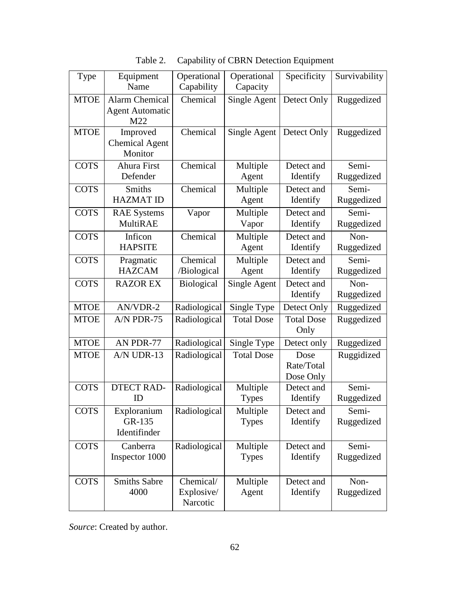| Type        | Equipment<br>Name                                      | Operational<br>Capability           | Operational<br>Capacity  | Specificity                     | Survivability       |
|-------------|--------------------------------------------------------|-------------------------------------|--------------------------|---------------------------------|---------------------|
| <b>MTOE</b> | <b>Alarm Chemical</b><br><b>Agent Automatic</b><br>M22 | Chemical                            | Single Agent             | Detect Only                     | Ruggedized          |
| <b>MTOE</b> | Improved<br><b>Chemical Agent</b><br>Monitor           | Chemical                            | Single Agent             | Detect Only                     | Ruggedized          |
| <b>COTS</b> | Ahura First<br>Defender                                | Chemical                            | Multiple<br>Agent        | Detect and<br>Identify          | Semi-<br>Ruggedized |
| <b>COTS</b> | <b>Smiths</b><br><b>HAZMAT ID</b>                      | Chemical                            | Multiple<br>Agent        | Detect and<br>Identify          | Semi-<br>Ruggedized |
| <b>COTS</b> | <b>RAE</b> Systems<br><b>MultiRAE</b>                  | Vapor                               | Multiple<br>Vapor        | Detect and<br>Identify          | Semi-<br>Ruggedized |
| <b>COTS</b> | Inficon<br><b>HAPSITE</b>                              | Chemical                            | Multiple<br>Agent        | Detect and<br>Identify          | Non-<br>Ruggedized  |
| <b>COTS</b> | Pragmatic<br><b>HAZCAM</b>                             | Chemical<br>/Biological             | Multiple<br>Agent        | Detect and<br>Identify          | Semi-<br>Ruggedized |
| <b>COTS</b> | <b>RAZOR EX</b>                                        | <b>Biological</b>                   | Single Agent             | Detect and<br>Identify          | Non-<br>Ruggedized  |
| <b>MTOE</b> | AN/VDR-2                                               | Radiological                        | Single Type              | Detect Only                     | Ruggedized          |
| <b>MTOE</b> | A/N PDR-75                                             | Radiological                        | <b>Total Dose</b>        | <b>Total Dose</b><br>Only       | Ruggedized          |
| <b>MTOE</b> | AN PDR-77                                              | Radiological                        | Single Type              | Detect only                     | Ruggedized          |
| <b>MTOE</b> | A/N UDR-13                                             | Radiological                        | <b>Total Dose</b>        | Dose<br>Rate/Total<br>Dose Only | Ruggidized          |
| <b>COTS</b> | <b>DTECT RAD-</b><br>ID                                | Radiological                        | Multiple<br><b>Types</b> | Detect and<br>Identify          | Semi-<br>Ruggedized |
| <b>COTS</b> | Exploranium<br>GR-135<br>Identifinder                  | Radiological                        | Multiple<br><b>Types</b> | Detect and<br>Identify          | Semi-<br>Ruggedized |
| <b>COTS</b> | Canberra<br>Inspector 1000                             | Radiological                        | Multiple<br><b>Types</b> | Detect and<br>Identify          | Semi-<br>Ruggedized |
| <b>COTS</b> | <b>Smiths Sabre</b><br>4000                            | Chemical/<br>Explosive/<br>Narcotic | Multiple<br>Agent        | Detect and<br>Identify          | Non-<br>Ruggedized  |

| Table 2. |  |  |  | Capability of CBRN Detection Equipment |
|----------|--|--|--|----------------------------------------|
|----------|--|--|--|----------------------------------------|

*Source*: Created by author.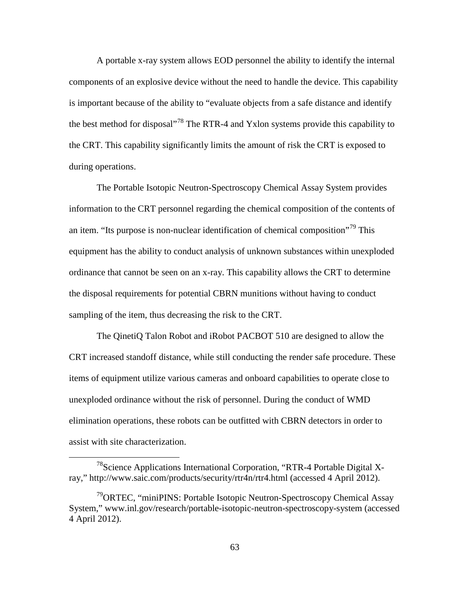A portable x-ray system allows EOD personnel the ability to identify the internal components of an explosive device without the need to handle the device. This capability is important because of the ability to "evaluate objects from a safe distance and identify the best method for disposal<sup>7[78](#page-72-0)</sup> The RTR-4 and Yxlon systems provide this capability to the CRT. This capability significantly limits the amount of risk the CRT is exposed to during operations.

The Portable Isotopic Neutron-Spectroscopy Chemical Assay System provides information to the CRT personnel regarding the chemical composition of the contents of an item. "Its purpose is non-nuclear identification of chemical composition"<sup>[79](#page-72-1)</sup> This equipment has the ability to conduct analysis of unknown substances within unexploded ordinance that cannot be seen on an x-ray. This capability allows the CRT to determine the disposal requirements for potential CBRN munitions without having to conduct sampling of the item, thus decreasing the risk to the CRT.

The QinetiQ Talon Robot and iRobot PACBOT 510 are designed to allow the CRT increased standoff distance, while still conducting the render safe procedure. These items of equipment utilize various cameras and onboard capabilities to operate close to unexploded ordinance without the risk of personnel. During the conduct of WMD elimination operations, these robots can be outfitted with CBRN detectors in order to assist with site characterization.

<span id="page-72-0"></span> <sup>78</sup>Science Applications International Corporation, "RTR-4 Portable Digital Xray," http://www.saic.com/products/security/rtr4n/rtr4.html (accessed 4 April 2012).

<span id="page-72-1"></span><sup>&</sup>lt;sup>79</sup>ORTEC, "miniPINS: Portable Isotopic Neutron-Spectroscopy Chemical Assay System," www.inl.gov/research/portable-isotopic-neutron-spectroscopy-system (accessed 4 April 2012).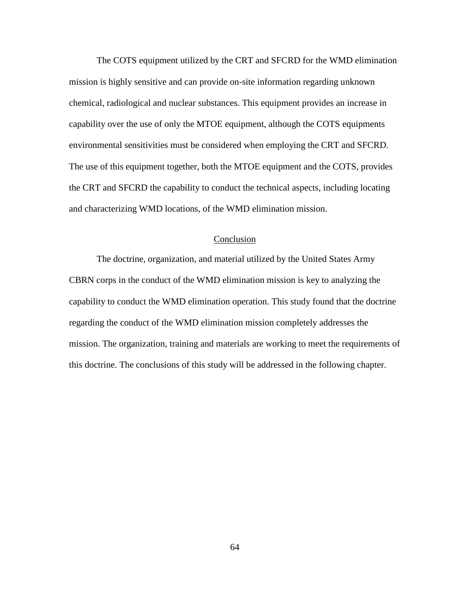The COTS equipment utilized by the CRT and SFCRD for the WMD elimination mission is highly sensitive and can provide on-site information regarding unknown chemical, radiological and nuclear substances. This equipment provides an increase in capability over the use of only the MTOE equipment, although the COTS equipments environmental sensitivities must be considered when employing the CRT and SFCRD. The use of this equipment together, both the MTOE equipment and the COTS, provides the CRT and SFCRD the capability to conduct the technical aspects, including locating and characterizing WMD locations, of the WMD elimination mission.

# Conclusion

The doctrine, organization, and material utilized by the United States Army CBRN corps in the conduct of the WMD elimination mission is key to analyzing the capability to conduct the WMD elimination operation. This study found that the doctrine regarding the conduct of the WMD elimination mission completely addresses the mission. The organization, training and materials are working to meet the requirements of this doctrine. The conclusions of this study will be addressed in the following chapter.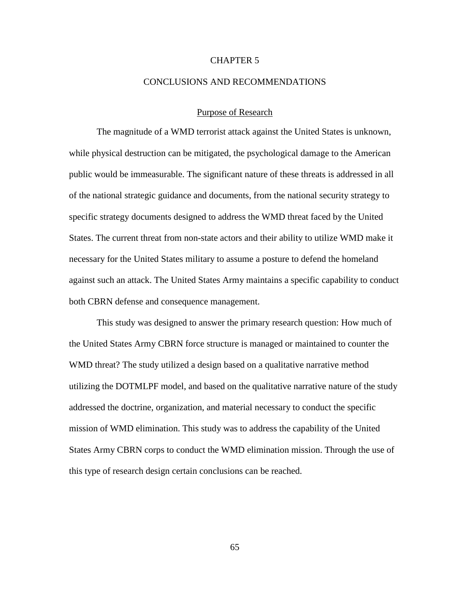# CHAPTER 5

### CONCLUSIONS AND RECOMMENDATIONS

# Purpose of Research

The magnitude of a WMD terrorist attack against the United States is unknown, while physical destruction can be mitigated, the psychological damage to the American public would be immeasurable. The significant nature of these threats is addressed in all of the national strategic guidance and documents, from the national security strategy to specific strategy documents designed to address the WMD threat faced by the United States. The current threat from non-state actors and their ability to utilize WMD make it necessary for the United States military to assume a posture to defend the homeland against such an attack. The United States Army maintains a specific capability to conduct both CBRN defense and consequence management.

This study was designed to answer the primary research question: How much of the United States Army CBRN force structure is managed or maintained to counter the WMD threat? The study utilized a design based on a qualitative narrative method utilizing the DOTMLPF model, and based on the qualitative narrative nature of the study addressed the doctrine, organization, and material necessary to conduct the specific mission of WMD elimination. This study was to address the capability of the United States Army CBRN corps to conduct the WMD elimination mission. Through the use of this type of research design certain conclusions can be reached.

65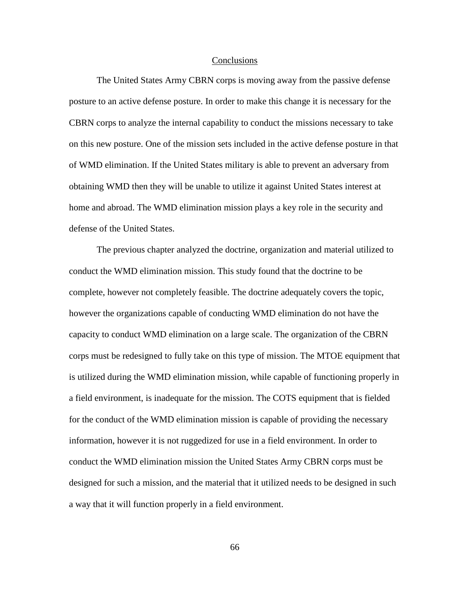### **Conclusions**

The United States Army CBRN corps is moving away from the passive defense posture to an active defense posture. In order to make this change it is necessary for the CBRN corps to analyze the internal capability to conduct the missions necessary to take on this new posture. One of the mission sets included in the active defense posture in that of WMD elimination. If the United States military is able to prevent an adversary from obtaining WMD then they will be unable to utilize it against United States interest at home and abroad. The WMD elimination mission plays a key role in the security and defense of the United States.

The previous chapter analyzed the doctrine, organization and material utilized to conduct the WMD elimination mission. This study found that the doctrine to be complete, however not completely feasible. The doctrine adequately covers the topic, however the organizations capable of conducting WMD elimination do not have the capacity to conduct WMD elimination on a large scale. The organization of the CBRN corps must be redesigned to fully take on this type of mission. The MTOE equipment that is utilized during the WMD elimination mission, while capable of functioning properly in a field environment, is inadequate for the mission. The COTS equipment that is fielded for the conduct of the WMD elimination mission is capable of providing the necessary information, however it is not ruggedized for use in a field environment. In order to conduct the WMD elimination mission the United States Army CBRN corps must be designed for such a mission, and the material that it utilized needs to be designed in such a way that it will function properly in a field environment.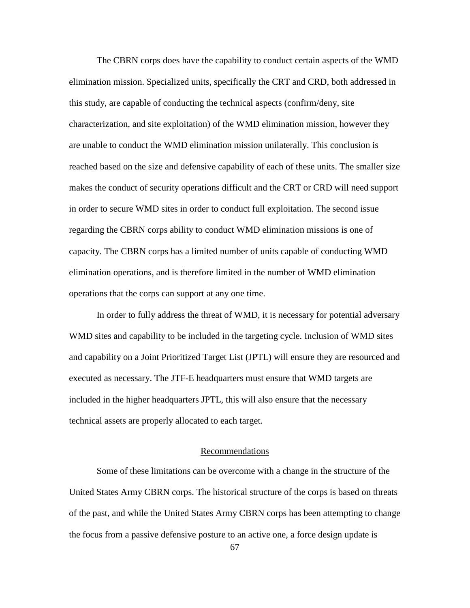The CBRN corps does have the capability to conduct certain aspects of the WMD elimination mission. Specialized units, specifically the CRT and CRD, both addressed in this study, are capable of conducting the technical aspects (confirm/deny, site characterization, and site exploitation) of the WMD elimination mission, however they are unable to conduct the WMD elimination mission unilaterally. This conclusion is reached based on the size and defensive capability of each of these units. The smaller size makes the conduct of security operations difficult and the CRT or CRD will need support in order to secure WMD sites in order to conduct full exploitation. The second issue regarding the CBRN corps ability to conduct WMD elimination missions is one of capacity. The CBRN corps has a limited number of units capable of conducting WMD elimination operations, and is therefore limited in the number of WMD elimination operations that the corps can support at any one time.

In order to fully address the threat of WMD, it is necessary for potential adversary WMD sites and capability to be included in the targeting cycle. Inclusion of WMD sites and capability on a Joint Prioritized Target List (JPTL) will ensure they are resourced and executed as necessary. The JTF-E headquarters must ensure that WMD targets are included in the higher headquarters JPTL, this will also ensure that the necessary technical assets are properly allocated to each target.

# Recommendations

Some of these limitations can be overcome with a change in the structure of the United States Army CBRN corps. The historical structure of the corps is based on threats of the past, and while the United States Army CBRN corps has been attempting to change the focus from a passive defensive posture to an active one, a force design update is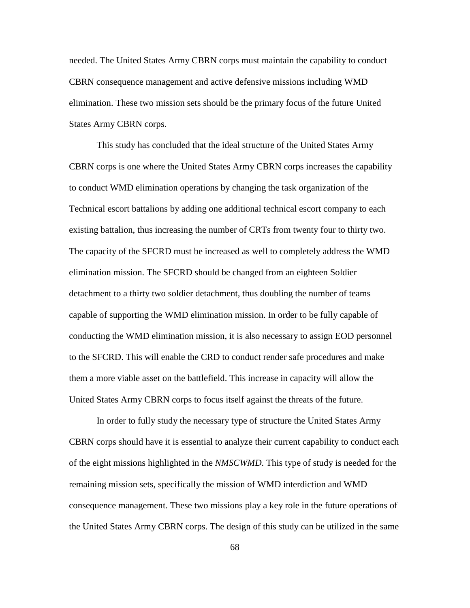needed. The United States Army CBRN corps must maintain the capability to conduct CBRN consequence management and active defensive missions including WMD elimination. These two mission sets should be the primary focus of the future United States Army CBRN corps.

This study has concluded that the ideal structure of the United States Army CBRN corps is one where the United States Army CBRN corps increases the capability to conduct WMD elimination operations by changing the task organization of the Technical escort battalions by adding one additional technical escort company to each existing battalion, thus increasing the number of CRTs from twenty four to thirty two. The capacity of the SFCRD must be increased as well to completely address the WMD elimination mission. The SFCRD should be changed from an eighteen Soldier detachment to a thirty two soldier detachment, thus doubling the number of teams capable of supporting the WMD elimination mission. In order to be fully capable of conducting the WMD elimination mission, it is also necessary to assign EOD personnel to the SFCRD. This will enable the CRD to conduct render safe procedures and make them a more viable asset on the battlefield. This increase in capacity will allow the United States Army CBRN corps to focus itself against the threats of the future.

In order to fully study the necessary type of structure the United States Army CBRN corps should have it is essential to analyze their current capability to conduct each of the eight missions highlighted in the *NMSCWMD*. This type of study is needed for the remaining mission sets, specifically the mission of WMD interdiction and WMD consequence management. These two missions play a key role in the future operations of the United States Army CBRN corps. The design of this study can be utilized in the same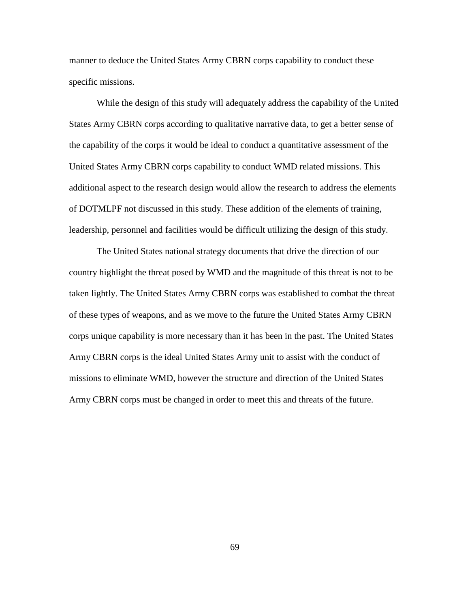manner to deduce the United States Army CBRN corps capability to conduct these specific missions.

While the design of this study will adequately address the capability of the United States Army CBRN corps according to qualitative narrative data, to get a better sense of the capability of the corps it would be ideal to conduct a quantitative assessment of the United States Army CBRN corps capability to conduct WMD related missions. This additional aspect to the research design would allow the research to address the elements of DOTMLPF not discussed in this study. These addition of the elements of training, leadership, personnel and facilities would be difficult utilizing the design of this study.

The United States national strategy documents that drive the direction of our country highlight the threat posed by WMD and the magnitude of this threat is not to be taken lightly. The United States Army CBRN corps was established to combat the threat of these types of weapons, and as we move to the future the United States Army CBRN corps unique capability is more necessary than it has been in the past. The United States Army CBRN corps is the ideal United States Army unit to assist with the conduct of missions to eliminate WMD, however the structure and direction of the United States Army CBRN corps must be changed in order to meet this and threats of the future.

69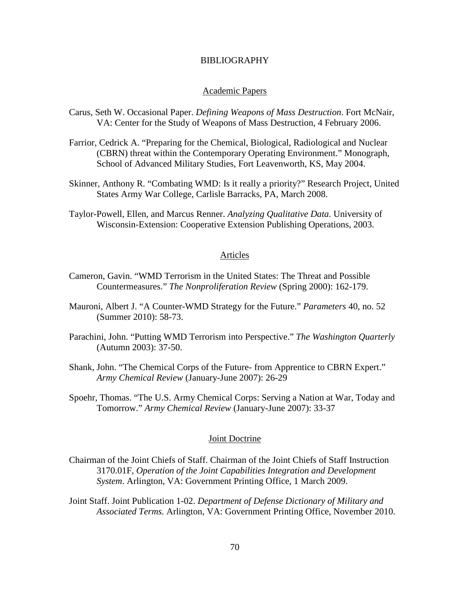### BIBLIOGRAPHY

### Academic Papers

- Carus, Seth W. Occasional Paper. *Defining Weapons of Mass Destruction*. Fort McNair, VA: Center for the Study of Weapons of Mass Destruction, 4 February 2006.
- Farrior, Cedrick A. "Preparing for the Chemical, Biological, Radiological and Nuclear (CBRN) threat within the Contemporary Operating Environment." Monograph, School of Advanced Military Studies, Fort Leavenworth, KS, May 2004.
- Skinner, Anthony R. "Combating WMD: Is it really a priority?" Research Project, United States Army War College, Carlisle Barracks, PA, March 2008.
- Taylor-Powell, Ellen, and Marcus Renner. *Analyzing Qualitative Data.* University of Wisconsin-Extension: Cooperative Extension Publishing Operations, 2003.

### Articles

- Cameron, Gavin. "WMD Terrorism in the United States: The Threat and Possible Countermeasures." *The Nonproliferation Review* (Spring 2000): 162-179.
- Mauroni, Albert J. "A Counter-WMD Strategy for the Future." *Parameters* 40, no. 52 (Summer 2010): 58-73.
- Parachini, John. "Putting WMD Terrorism into Perspective." *The Washington Quarterly* (Autumn 2003): 37-50.
- Shank, John. "The Chemical Corps of the Future- from Apprentice to CBRN Expert." *Army Chemical Review* (January-June 2007): 26-29
- Spoehr, Thomas. "The U.S. Army Chemical Corps: Serving a Nation at War, Today and Tomorrow." *Army Chemical Review* (January-June 2007): 33-37

# Joint Doctrine

- Chairman of the Joint Chiefs of Staff. Chairman of the Joint Chiefs of Staff Instruction 3170.01F, *Operation of the Joint Capabilities Integration and Development System*. Arlington, VA: Government Printing Office, 1 March 2009.
- Joint Staff. Joint Publication 1-02. *Department of Defense Dictionary of Military and Associated Terms.* Arlington, VA: Government Printing Office, November 2010.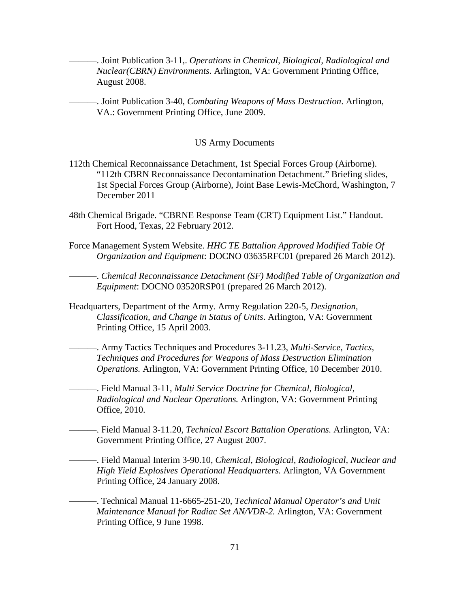———. Joint Publication 3-11,. *Operations in Chemical, Biological, Radiological and Nuclear(CBRN) Environments.* Arlington, VA: Government Printing Office, August 2008.

———. Joint Publication 3-40, *Combating Weapons of Mass Destruction*. Arlington, VA.: Government Printing Office, June 2009.

### US Army Documents

- 112th Chemical Reconnaissance Detachment, 1st Special Forces Group (Airborne). "112th CBRN Reconnaissance Decontamination Detachment." Briefing slides, 1st Special Forces Group (Airborne), Joint Base Lewis-McChord, Washington, 7 December 2011
- 48th Chemical Brigade. "CBRNE Response Team (CRT) Equipment List*.*" Handout. Fort Hood, Texas, 22 February 2012.
- Force Management System Website. *HHC TE Battalion Approved Modified Table Of Organization and Equipment*: DOCNO 03635RFC01 (prepared 26 March 2012).

———. *Chemical Reconnaissance Detachment (SF) Modified Table of Organization and Equipment*: DOCNO 03520RSP01 (prepared 26 March 2012).

Headquarters, Department of the Army. Army Regulation 220-5, *Designation, Classification, and Change in Status of Units*. Arlington, VA: Government Printing Office, 15 April 2003.

———. Army Tactics Techniques and Procedures 3-11.23, *Multi-Service, Tactics, Techniques and Procedures for Weapons of Mass Destruction Elimination Operations.* Arlington, VA: Government Printing Office, 10 December 2010.

———. Field Manual 3-11, *Multi Service Doctrine for Chemical, Biological, Radiological and Nuclear Operations.* Arlington, VA: Government Printing Office, 2010.

———. Field Manual 3-11.20, *Technical Escort Battalion Operations.* Arlington, VA: Government Printing Office, 27 August 2007.

———. Field Manual Interim 3-90.10, *Chemical, Biological, Radiological, Nuclear and High Yield Explosives Operational Headquarters.* Arlington, VA Government Printing Office, 24 January 2008.

———. Technical Manual 11-6665-251-20, *Technical Manual Operator's and Unit Maintenance Manual for Radiac Set AN/VDR-2.* Arlington, VA: Government Printing Office, 9 June 1998.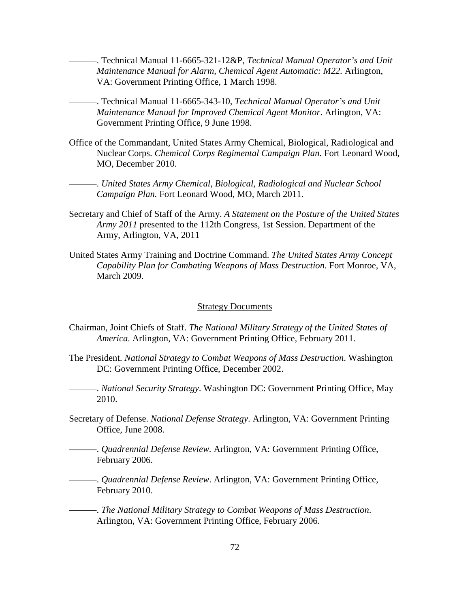———. Technical Manual 11-6665-321-12&P, *Technical Manual Operator's and Unit Maintenance Manual for Alarm, Chemical Agent Automatic: M22.* Arlington, VA: Government Printing Office, 1 March 1998.

- ———. Technical Manual 11-6665-343-10, *Technical Manual Operator's and Unit Maintenance Manual for Improved Chemical Agent Monitor*. Arlington, VA: Government Printing Office, 9 June 1998.
- Office of the Commandant, United States Army Chemical, Biological, Radiological and Nuclear Corps. *Chemical Corps Regimental Campaign Plan.* Fort Leonard Wood, MO, December 2010.

———. *United States Army Chemical, Biological, Radiological and Nuclear School Campaign Plan.* Fort Leonard Wood, MO, March 2011.

- Secretary and Chief of Staff of the Army. *A Statement on the Posture of the United States Army 2011* presented to the 112th Congress, 1st Session. Department of the Army, Arlington, VA, 2011
- United States Army Training and Doctrine Command. *The United States Army Concept Capability Plan for Combating Weapons of Mass Destruction.* Fort Monroe, VA, March 2009.

#### **Strategy Documents**

- Chairman, Joint Chiefs of Staff. *The National Military Strategy of the United States of America*. Arlington, VA: Government Printing Office, February 2011.
- The President. *National Strategy to Combat Weapons of Mass Destruction*. Washington DC: Government Printing Office, December 2002.
- ———. *National Security Strategy*. Washington DC: Government Printing Office, May 2010.
- Secretary of Defense. *National Defense Strategy*. Arlington, VA: Government Printing Office, June 2008.
- ———. *Quadrennial Defense Review.* Arlington, VA: Government Printing Office, February 2006.
- ———. *Quadrennial Defense Review*. Arlington, VA: Government Printing Office, February 2010.

———. *The National Military Strategy to Combat Weapons of Mass Destruction*. Arlington, VA: Government Printing Office, February 2006.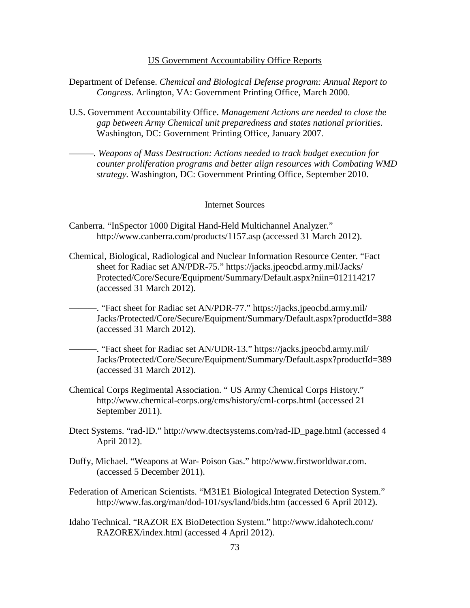#### US Government Accountability Office Reports

- Department of Defense. *Chemical and Biological Defense program: Annual Report to Congress*. Arlington, VA: Government Printing Office, March 2000.
- U.S. Government Accountability Office. *Management Actions are needed to close the gap between Army Chemical unit preparedness and states national priorities*. Washington, DC: Government Printing Office, January 2007.
- *———. Weapons of Mass Destruction: Actions needed to track budget execution for counter proliferation programs and better align resources with Combating WMD strategy.* Washington, DC: Government Printing Office, September 2010.

#### Internet Sources

- Canberra. "InSpector 1000 Digital Hand-Held Multichannel Analyzer." http://www.canberra.com/products/1157.asp (accessed 31 March 2012).
- Chemical, Biological, Radiological and Nuclear Information Resource Center. "Fact sheet for Radiac set AN/PDR-75." https://jacks.jpeocbd.army.mil/Jacks/ Protected/Core/Secure/Equipment/Summary/Default.aspx?niin=012114217 (accessed 31 March 2012).
	- -. "Fact sheet for Radiac set AN/PDR-77." https://jacks.jpeocbd.army.mil/ Jacks/Protected/Core/Secure/Equipment/Summary/Default.aspx?productId=388 (accessed 31 March 2012).
		- ———. "Fact sheet for Radiac set AN/UDR-13." https://jacks.jpeocbd.army.mil/ Jacks/Protected/Core/Secure/Equipment/Summary/Default.aspx?productId=389 (accessed 31 March 2012).
- Chemical Corps Regimental Association. " US Army Chemical Corps History." http://www.chemical-corps.org/cms/history/cml-corps.html (accessed 21 September 2011).
- Dtect Systems. "rad-ID." http://www.dtectsystems.com/rad-ID\_page.html (accessed 4 April 2012).
- Duffy, Michael. "Weapons at War- Poison Gas." http://www.firstworldwar.com. (accessed 5 December 2011).
- Federation of American Scientists. "M31E1 Biological Integrated Detection System." http://www.fas.org/man/dod-101/sys/land/bids.htm (accessed 6 April 2012).
- Idaho Technical. "RAZOR EX BioDetection System." http://www.idahotech.com/ RAZOREX/index.html (accessed 4 April 2012).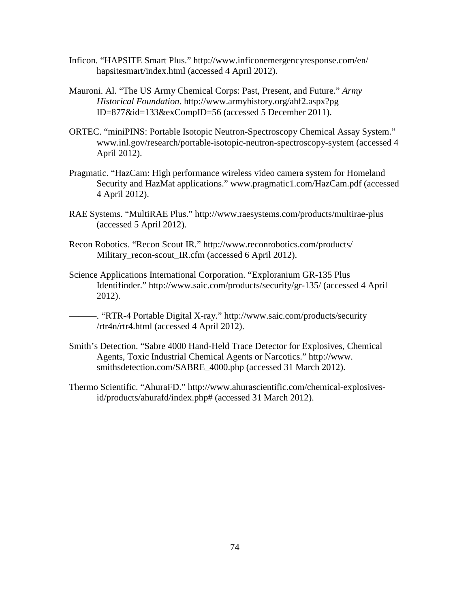- Inficon. "HAPSITE Smart Plus." http://www.inficonemergencyresponse.com/en/ hapsitesmart/index.html (accessed 4 April 2012).
- Mauroni. Al. "The US Army Chemical Corps: Past, Present, and Future." *Army Historical Foundation*. http://www.armyhistory.org/ahf2.aspx?pg ID=877&id=133&exCompID=56 (accessed 5 December 2011).
- ORTEC. "miniPINS: Portable Isotopic Neutron-Spectroscopy Chemical Assay System." www.inl.gov/research/portable-isotopic-neutron-spectroscopy-system (accessed 4 April 2012).
- Pragmatic. "HazCam: High performance wireless video camera system for Homeland Security and HazMat applications." www.pragmatic1.com/HazCam.pdf (accessed 4 April 2012).
- RAE Systems. "MultiRAE Plus." http://www.raesystems.com/products/multirae-plus (accessed 5 April 2012).
- Recon Robotics. "Recon Scout IR." http://www.reconrobotics.com/products/ Military\_recon-scout\_IR.cfm (accessed 6 April 2012).
- Science Applications International Corporation. "Exploranium GR-135 Plus Identifinder." http://www.saic.com/products/security/gr-135/ (accessed 4 April 2012).
	- ———. "RTR-4 Portable Digital X-ray." http://www.saic.com/products/security /rtr4n/rtr4.html (accessed 4 April 2012).
- Smith's Detection. "Sabre 4000 Hand-Held Trace Detector for Explosives, Chemical Agents, Toxic Industrial Chemical Agents or Narcotics." http://www. smithsdetection.com/SABRE\_4000.php (accessed 31 March 2012).
- Thermo Scientific. "AhuraFD." http://www.ahurascientific.com/chemical-explosivesid/products/ahurafd/index.php# (accessed 31 March 2012).